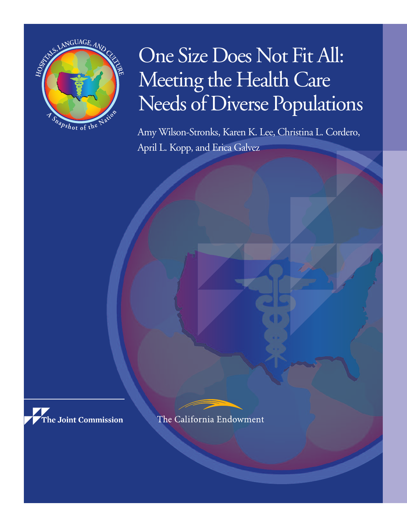

# One Size Does Not Fit All: Meeting the Health Care Needs of Diverse Populations

Amy Wilson-Stronks, Karen K. Lee, Christina L. Cordero, April L. Kopp, and Erica Galvez



The California Endowment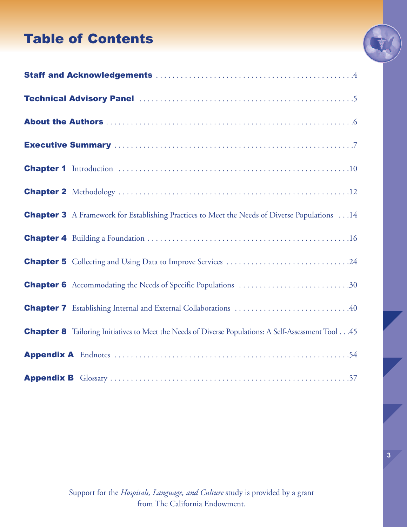## Table of Contents



| <b>Chapter 3</b> A Framework for Establishing Practices to Meet the Needs of Diverse Populations 14        |
|------------------------------------------------------------------------------------------------------------|
|                                                                                                            |
| <b>Chapter 5</b> Collecting and Using Data to Improve Services 24                                          |
| <b>Chapter 6</b> Accommodating the Needs of Specific Populations 30                                        |
| <b>Chapter 7</b> Establishing Internal and External Collaborations 40                                      |
| <b>Chapter 8</b> Tailoring Initiatives to Meet the Needs of Diverse Populations: A Self-Assessment Tool 45 |
|                                                                                                            |
|                                                                                                            |

Support for the *Hospitals, Language, and Culture* study is provided by a grant from The California Endowment.

**3**

Ţ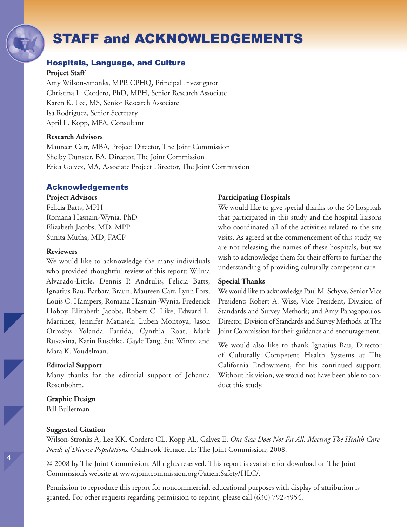## STAFF and ACKNOWLEDGEMENTS

#### Hospitals, Language, and Culture

#### **Project Staff**

Amy Wilson-Stronks, MPP, CPHQ, Principal Investigator Christina L. Cordero, PhD, MPH, Senior Research Associate Karen K. Lee, MS, Senior Research Associate Isa Rodriguez, Senior Secretary April L. Kopp, MFA, Consultant

#### **Research Advisors**

Maureen Carr, MBA, Project Director, The Joint Commission Shelby Dunster, BA, Director, The Joint Commission Erica Galvez, MA, Associate Project Director, The Joint Commission

#### Acknowledgements

#### **Project Advisors**

Felicia Batts, MPH Romana Hasnain-Wynia, PhD Elizabeth Jacobs, MD, MPP Sunita Mutha, MD, FACP

#### **Reviewers**

We would like to acknowledge the many individuals who provided thoughtful review of this report: Wilma Alvarado-Little, Dennis P. Andrulis, Felicia Batts, Ignatius Bau, Barbara Braun, Maureen Carr, Lynn Fors, Louis C. Hampers, Romana Hasnain-Wynia, Frederick Hobby, Elizabeth Jacobs, Robert C. Like, Edward L. Martinez, Jennifer Matiasek, Luben Montoya, Jason Ormsby, Yolanda Partida, Cynthia Roat, Mark Rukavina, Karin Ruschke, Gayle Tang, Sue Wintz, and Mara K. Youdelman.

#### **Editorial Support**

Many thanks for the editorial support of Johanna Rosenbohm.

#### **Graphic Design**

Bill Bullerman

#### **Suggested Citation**

Wilson-Stronks A, Lee KK, Cordero CL, Kopp AL, Galvez E. *One Size Does Not Fit All: Meeting The Health Care Needs of Diverse Populations.* Oakbrook Terrace, IL: The Joint Commission; 2008.

© 2008 by The Joint Commission. All rights reserved. This report is available for download on The Joint Commission's website at www.jointcommission.org/PatientSafety/HLC/.

Permission to reproduce this report for noncommercial, educational purposes with display of attribution is granted. For other requests regarding permission to reprint, please call (630) 792-5954.

#### **Participating Hospitals**

We would like to give special thanks to the 60 hospitals that participated in this study and the hospital liaisons who coordinated all of the activities related to the site visits. As agreed at the commencement of this study, we are not releasing the names of these hospitals, but we wish to acknowledge them for their efforts to further the understanding of providing culturally competent care.

#### **Special Thanks**

We would like to acknowledge Paul M. Schyve, Senior Vice President; Robert A. Wise, Vice President, Division of Standards and Survey Methods; and Amy Panagopoulos, Director, Division of Standards and Survey Methods, at The Joint Commission for their guidance and encouragement.

We would also like to thank Ignatius Bau, Director of Culturally Competent Health Systems at The California Endowment, for his continued support. Without his vision, we would not have been able to conduct this study.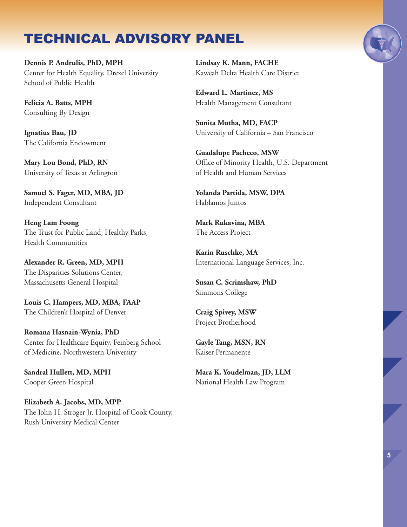## TECHNICAL ADVISORY PANEL

**Dennis P. Andrulis, PhD, MPH** Center for Health Equality, Drexel University School of Public Health

**Felicia A. Batts, MPH** Consulting By Design

**Ignatius Bau, JD** The California Endowment

**Mary Lou Bond, PhD, RN** University of Texas at Arlington

**Samuel S. Fager, MD, MBA, JD** Independent Consultant

**Heng Lam Foong** The Trust for Public Land, Healthy Parks, Health Communities

**Alexander R. Green, MD, MPH** The Disparities Solutions Center, Massachusetts General Hospital

**Louis C. Hampers, MD, MBA, FAAP** The Children's Hospital of Denver

**Romana Hasnain-Wynia, PhD** Center for Healthcare Equity, Feinberg School of Medicine, Northwestern University

**Sandral Hullett, MD, MPH** Cooper Green Hospital

**Elizabeth A. Jacobs, MD, MPP** The John H. Stroger Jr. Hospital of Cook County, Rush University Medical Center

**Lindsay K. Mann, FACHE** Kaweah Delta Health Care District

**Edward L. Martinez, MS** Health Management Consultant

**Sunita Mutha, MD, FACP** University of California – San Francisco

**Guadalupe Pacheco, MSW** Office of Minority Health, U.S. Department of Health and Human Services

**Yolanda Partida, MSW, DPA** Hablamos Juntos

**Mark Rukavina, MBA** The Access Project

**Karin Ruschke, MA** International Language Services, Inc.

**Susan C. Scrimshaw, PhD** Simmons College

**Craig Spivey, MSW** Project Brotherhood

**Gayle Tang, MSN, RN** Kaiser Permanente

**Mara K. Youdelman, JD, LLM** National Health Law Program



**5**

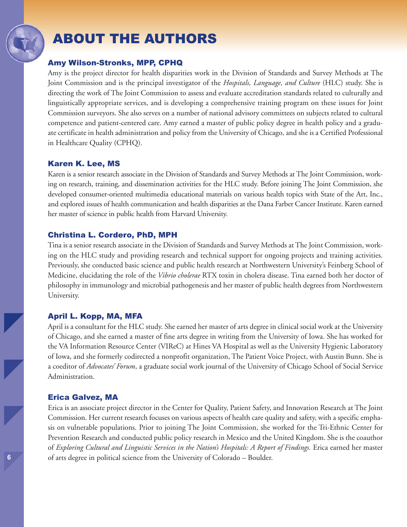## ABOUT THE AUTHORS

### Amy Wilson-Stronks, MPP, CPHQ

Amy is the project director for health disparities work in the Division of Standards and Survey Methods at The Joint Commission and is the principal investigator of the *Hospitals, Language, and Culture* (HLC) study. She is directing the work of The Joint Commission to assess and evaluate accreditation standards related to culturally and linguistically appropriate services, and is developing a comprehensive training program on these issues for Joint Commission surveyors. She also serves on a number of national advisory committees on subjects related to cultural competence and patient-centered care. Amy earned a master of public policy degree in health policy and a graduate certificate in health administration and policy from the University of Chicago, and she is a Certified Professional in Healthcare Quality (CPHQ).

## Karen K. Lee, MS

Karen is a senior research associate in the Division of Standards and Survey Methods at The Joint Commission, working on research, training, and dissemination activities for the HLC study. Before joining The Joint Commission, she developed consumer-oriented multimedia educational materials on various health topics with State of the Art, Inc., and explored issues of health communication and health disparities at the Dana Farber Cancer Institute. Karen earned her master of science in public health from Harvard University.

## Christina L. Cordero, PhD, MPH

Tina is a senior research associate in the Division of Standards and Survey Methods atThe Joint Commission, working on the HLC study and providing research and technical support for ongoing projects and training activities. Previously, she conducted basic science and public health research at Northwestern University's Feinberg School of Medicine, elucidating the role of the *Vibrio cholerae* RTX toxin in cholera disease. Tina earned both her doctor of philosophy in immunology and microbial pathogenesis and her master of public health degrees from Northwestern University.

### April L. Kopp, MA, MFA

April is a consultant for the HLC study. She earned her master of arts degree in clinical social work at the University of Chicago, and she earned a master of fine arts degree in writing from the University of Iowa. She has worked for the VA Information Resource Center (VIReC) at Hines VA Hospital as well as the University Hygienic Laboratory of Iowa, and she formerly codirected a nonprofit organization, The Patient Voice Project, with Austin Bunn. She is a coeditor of *Advocates' Forum*, a graduate social work journal of the University of Chicago School of Social Service Administration.

### Erica Galvez, MA

Erica is an associate project director in the Center for Quality, Patient Safety, and Innovation Research at The Joint Commission. Her current research focuses on various aspects of health care quality and safety, with a specific emphasis on vulnerable populations. Prior to joining The Joint Commission, she worked for the Tri-Ethnic Center for Prevention Research and conducted public policy research in Mexico and the United Kingdom. She is the coauthor of *Exploring Cultural and Linguistic Services in the Nation's Hospitals: A Report of Findings.* Erica earned her master of arts degree in political science from the University of Colorado – Boulder.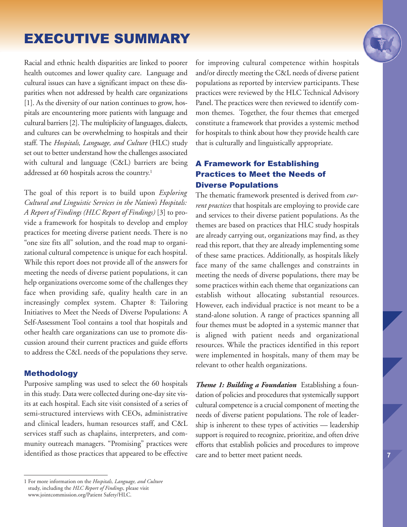## EXECUTIVE SUMMARY

Racial and ethnic health disparities are linked to poorer health outcomes and lower quality care. Language and cultural issues can have a significant impact on these disparities when not addressed by health care organizations [1]. As the diversity of our nation continues to grow, hospitals are encountering more patients with language and cultural barriers [2].The multiplicity of languages, dialects, and cultures can be overwhelming to hospitals and their staff. The *Hospitals, Language, and Culture* (HLC) study set out to better understand how the challenges associated with cultural and language (C&L) barriers are being addressed at 60 hospitals across the country. 1

The goal of this report is to build upon *Exploring Cultural and Linguistic Services in the Nation's Hospitals: A Report of Findings (HLC Report of Findings)* [3] to provide a framework for hospitals to develop and employ practices for meeting diverse patient needs. There is no "one size fits all" solution, and the road map to organizational cultural competence is unique for each hospital. While this report does not provide all of the answers for meeting the needs of diverse patient populations, it can help organizations overcome some of the challenges they face when providing safe, quality health care in an increasingly complex system. Chapter 8: Tailoring Initiatives to Meet the Needs of Diverse Populations: A Self-Assessment Tool contains a tool that hospitals and other health care organizations can use to promote discussion around their current practices and guide efforts to address the C&L needs of the populations they serve.

### Methodology

Purposive sampling was used to select the 60 hospitals in this study. Data were collected during one-day site visits at each hospital. Each site visit consisted of a series of semi-structured interviews with CEOs, administrative and clinical leaders, human resources staff, and C&L services staff such as chaplains, interpreters, and community outreach managers. "Promising" practices were identified as those practices that appeared to be effective

for improving cultural competence within hospitals and/or directly meeting the C&L needs of diverse patient populations as reported by interview participants. These practices were reviewed by the HLC Technical Advisory Panel.The practices were then reviewed to identify common themes. Together, the four themes that emerged constitute a framework that provides a systemic method for hospitals to think about how they provide health care that is culturally and linguistically appropriate.

## A Framework for Establishing Practices to Meet the Needs of Diverse Populations

The thematic framework presented is derived from *current practices* that hospitals are employing to provide care and services to their diverse patient populations. As the themes are based on practices that HLC study hospitals are already carrying out, organizations may find, as they read this report, that they are already implementing some of these same practices. Additionally, as hospitals likely face many of the same challenges and constraints in meeting the needs of diverse populations, there may be some practices within each theme that organizations can establish without allocating substantial resources. However, each individual practice is not meant to be a stand-alone solution. A range of practices spanning all four themes must be adopted in a systemic manner that is aligned with patient needs and organizational resources. While the practices identified in this report were implemented in hospitals, many of them may be relevant to other health organizations.

*Theme 1: Building a Foundation* Establishing a foundation of policies and procedures that systemically support cultural competence is a crucial component of meeting the needs of diverse patient populations. The role of leadership is inherent to these types of activities — leadership support is required to recognize, prioritize, and often drive efforts that establish policies and procedures to improve care and to better meet patient needs.

<sup>1</sup> For more information on the *Hospitals, Language, and Culture* study, including the *HLC Report of Findings*, please visit www.jointcommission.org/Patient Safety/HLC.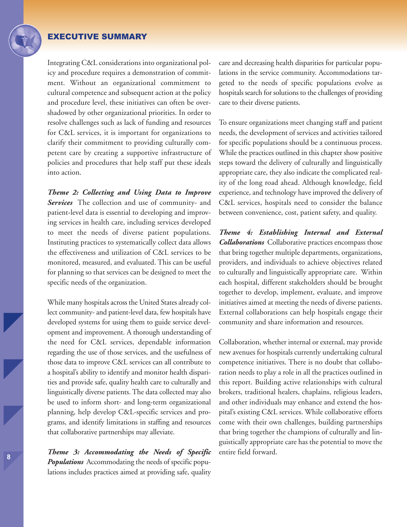### EXECUTIVE SUMMARY

Integrating C&L considerations into organizational policy and procedure requires a demonstration of commitment. Without an organizational commitment to cultural competence and subsequent action at the policy and procedure level, these initiatives can often be overshadowed by other organizational priorities. In order to resolve challenges such as lack of funding and resources for C&L services, it is important for organizations to clarify their commitment to providing culturally competent care by creating a supportive infrastructure of policies and procedures that help staff put these ideals into action.

*Theme 2: Collecting and Using Data to Improve Services* The collection and use of community- and patient-level data is essential to developing and improving services in health care, including services developed to meet the needs of diverse patient populations. Instituting practices to systematically collect data allows the effectiveness and utilization of C&L services to be monitored, measured, and evaluated. This can be useful for planning so that services can be designed to meet the specific needs of the organization.

While many hospitals across the United States already collect community- and patient-level data, few hospitals have developed systems for using them to guide service development and improvement. A thorough understanding of the need for C&L services, dependable information regarding the use of those services, and the usefulness of those data to improve C&L services can all contribute to a hospital's ability to identify and monitor health disparities and provide safe, quality health care to culturally and linguistically diverse patients.The data collected may also be used to inform short- and long-term organizational planning, help develop C&L-specific services and programs, and identify limitations in staffing and resources that collaborative partnerships may alleviate.

*Theme 3: Accommodating the Needs of Specific Populations* Accommodating the needs of specific populations includes practices aimed at providing safe, quality care and decreasing health disparities for particular populations in the service community. Accommodations targeted to the needs of specific populations evolve as hospitals search for solutions to the challenges of providing care to their diverse patients.

To ensure organizations meet changing staff and patient needs, the development of services and activities tailored for specific populations should be a continuous process. While the practices outlined in this chapter show positive steps toward the delivery of culturally and linguistically appropriate care, they also indicate the complicated reality of the long road ahead. Although knowledge, field experience, and technology have improved the delivery of C&L services, hospitals need to consider the balance between convenience, cost, patient safety, and quality.

*Theme 4: Establishing Internal and External Collaborations* Collaborative practices encompass those that bring together multiple departments, organizations, providers, and individuals to achieve objectives related to culturally and linguistically appropriate care. Within each hospital, different stakeholders should be brought together to develop, implement, evaluate, and improve initiatives aimed at meeting the needs of diverse patients. External collaborations can help hospitals engage their community and share information and resources.

Collaboration, whether internal or external, may provide new avenues for hospitals currently undertaking cultural competence initiatives. There is no doubt that collaboration needs to play a role in all the practices outlined in this report. Building active relationships with cultural brokers, traditional healers, chaplains, religious leaders, and other individuals may enhance and extend the hospital's existing C&L services. While collaborative efforts come with their own challenges, building partnerships that bring together the champions of culturally and linguistically appropriate care has the potential to move the entire field forward.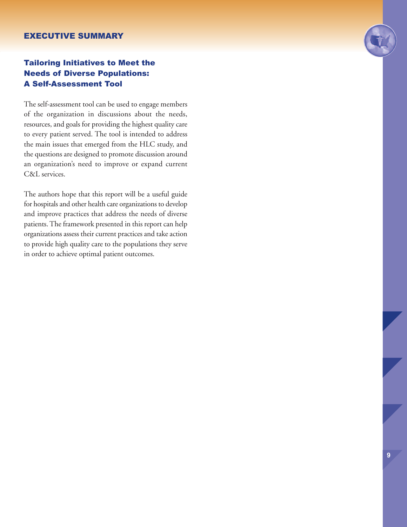#### EXECUTIVE SUMMARY

## Tailoring Initiatives to Meet the Needs of Diverse Populations: A Self-Assessment Tool

The self-assessment tool can be used to engage members of the organization in discussions about the needs, resources, and goals for providing the highest quality care to every patient served. The tool is intended to address the main issues that emerged from the HLC study, and the questions are designed to promote discussion around an organization's need to improve or expand current C&L services.

The authors hope that this report will be a useful guide for hospitals and other health care organizations to develop and improve practices that address the needs of diverse patients.The framework presented in this report can help organizations assess their current practices and take action to provide high quality care to the populations they serve in order to achieve optimal patient outcomes.

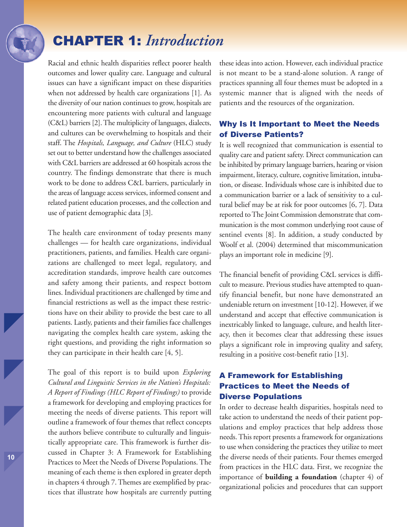## CHAPTER 1: *Introduction*

Racial and ethnic health disparities reflect poorer health outcomes and lower quality care. Language and cultural issues can have a significant impact on these disparities when not addressed by health care organizations [1]. As the diversity of our nation continues to grow, hospitals are encountering more patients with cultural and language (C&L) barriers [2].The multiplicity of languages, dialects, and cultures can be overwhelming to hospitals and their staff. The *Hospitals, Language, and Culture* (HLC) study set out to better understand how the challenges associated with C&L barriers are addressed at 60 hospitals across the country. The findings demonstrate that there is much work to be done to address C&L barriers, particularly in the areas of language access services, informed consent and related patient education processes, and the collection and use of patient demographic data [3].

The health care environment of today presents many challenges — for health care organizations, individual practitioners, patients, and families. Health care organizations are challenged to meet legal, regulatory, and accreditation standards, improve health care outcomes and safety among their patients, and respect bottom lines. Individual practitioners are challenged by time and financial restrictions as well as the impact these restrictions have on their ability to provide the best care to all patients. Lastly, patients and their families face challenges navigating the complex health care system, asking the right questions, and providing the right information so they can participate in their health care [4, 5].

The goal of this report is to build upon *Exploring Cultural and Linguistic Services in the Nation's Hospitals: A Report of Findings (HLC Report of Findings)* to provide a framework for developing and employing practices for meeting the needs of diverse patients. This report will outline a framework of four themes that reflect concepts the authors believe contribute to culturally and linguistically appropriate care. This framework is further discussed in Chapter 3: A Framework for Establishing Practices to Meet the Needs of Diverse Populations. The meaning of each theme is then explored in greater depth in chapters 4 through 7.Themes are exemplified by practices that illustrate how hospitals are currently putting these ideas into action. However, each individual practice is not meant to be a stand-alone solution. A range of practices spanning all four themes must be adopted in a systemic manner that is aligned with the needs of patients and the resources of the organization.

## Why Is It Important to Meet the Needs of Diverse Patients?

It is well recognized that communication is essential to quality care and patient safety. Direct communication can be inhibited by primary language barriers, hearing or vision impairment, literacy, culture, cognitive limitation, intubation, or disease. Individuals whose care is inhibited due to a communication barrier or a lack of sensitivity to a cultural belief may be at risk for poor outcomes [6, 7]. Data reported to The Joint Commission demonstrate that communication is the most common underlying root cause of sentinel events [8]. In addition, a study conducted by Woolf et al. (2004) determined that miscommunication plays an important role in medicine [9].

The financial benefit of providing C&L services is difficult to measure. Previous studies have attempted to quantify financial benefit, but none have demonstrated an undeniable return on investment [10-12]. However, if we understand and accept that effective communication is inextricably linked to language, culture, and health literacy, then it becomes clear that addressing these issues plays a significant role in improving quality and safety, resulting in a positive cost-benefit ratio [13].

## A Framework for Establishing Practices to Meet the Needs of Diverse Populations

In order to decrease health disparities, hospitals need to take action to understand the needs of their patient populations and employ practices that help address those needs.This report presents a framework for organizations to use when considering the practices they utilize to meet the diverse needs of their patients. Four themes emerged from practices in the HLC data. First, we recognize the importance of **building a foundation** (chapter 4) of organizational policies and procedures that can support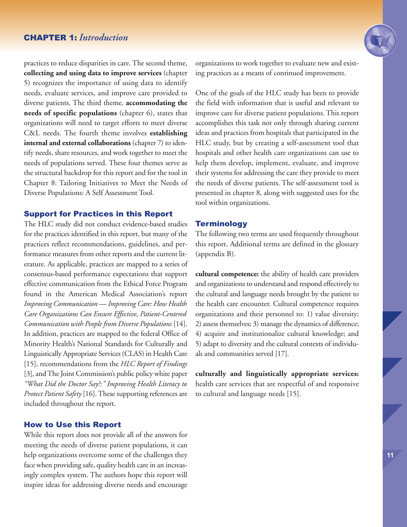## CHAPTER 1: *Introduction*

practices to reduce disparities in care. The second theme, **collecting and using data to improve services** (chapter 5) recognizes the importance of using data to identify needs, evaluate services, and improve care provided to diverse patients. The third theme, **accommodating the needs of specific populations** (chapter 6), states that organizations will need to target efforts to meet diverse C&L needs. The fourth theme involves **establishing internal and external collaborations** (chapter 7) to identify needs, share resources, and work together to meet the needs of populations served. These four themes serve as the structural backdrop for this report and for the tool in Chapter 8: Tailoring Initiatives to Meet the Needs of Diverse Populations: A Self Assessment Tool.

#### Support for Practices in this Report

The HLC study did not conduct evidence-based studies for the practices identified in this report, but many of the practices reflect recommendations, guidelines, and performance measures from other reports and the current literature. As applicable, practices are mapped to a series of consensus-based performance expectations that support effective communication from the Ethical Force Program found in the American Medical Association's report *Improving Communication* — *Improving Care: How Health Care Organizations Can Ensure Effective, Patient-Centered Communication with People from Diverse Populations* [14]. In addition, practices are mapped to the federal Office of Minority Health's National Standards for Culturally and Linguistically Appropriate Services (CLAS) in Health Care [15], recommendations from the *HLC Report of Findings* [3], and The Joint Commission's public policy white paper *"What Did the Doctor Say?:" Improving Health Literacy to Protect Patient Safety* [16]. These supporting references are included throughout the report.

#### How to Use this Report

While this report does not provide all of the answers for meeting the needs of diverse patient populations, it can help organizations overcome some of the challenges they face when providing safe, quality health care in an increasingly complex system. The authors hope this report will inspire ideas for addressing diverse needs and encourage

organizations to work together to evaluate new and existing practices as a means of continued improvement.

One of the goals of the HLC study has been to provide the field with information that is useful and relevant to improve care for diverse patient populations. This report accomplishes this task not only through sharing current ideas and practices from hospitals that participated in the HLC study, but by creating a self-assessment tool that hospitals and other health care organizations can use to help them develop, implement, evaluate, and improve their systems for addressing the care they provide to meet the needs of diverse patients. The self-assessment tool is presented in chapter 8, along with suggested uses for the tool within organizations.

#### **Terminology**

The following two terms are used frequently throughout this report. Additional terms are defined in the glossary (appendix B).

**cultural competence:** the ability of health care providers and organizations to understand and respond effectively to the cultural and language needs brought by the patient to the health care encounter. Cultural competence requires organizations and their personnel to: 1) value diversity; 2) assess themselves; 3) manage the dynamics of difference; 4) acquire and institutionalize cultural knowledge; and 5) adapt to diversity and the cultural contexts of individuals and communities served [17].

**culturally and linguistically appropriate services:** health care services that are respectful of and responsive to cultural and language needs [15].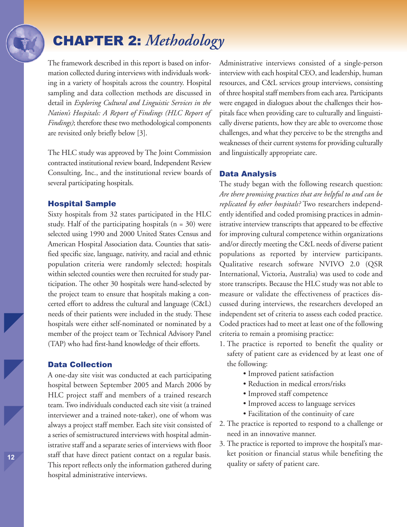## CHAPTER 2: *Methodology*

The framework described in this report is based on information collected during interviews with individuals working in a variety of hospitals across the country. Hospital sampling and data collection methods are discussed in detail in *Exploring Cultural and Linguistic Services in the Nation's Hospitals: A Report of Findings (HLC Report of Findings*); therefore these two methodological components are revisited only briefly below [3].

The HLC study was approved by The Joint Commission contracted institutional review board, Independent Review Consulting, Inc., and the institutional review boards of several participating hospitals.

#### Hospital Sample

Sixty hospitals from 32 states participated in the HLC study. Half of the participating hospitals  $(n = 30)$  were selected using 1990 and 2000 United States Census and American Hospital Association data. Counties that satisfied specific size, language, nativity, and racial and ethnic population criteria were randomly selected; hospitals within selected counties were then recruited for study participation. The other 30 hospitals were hand-selected by the project team to ensure that hospitals making a concerted effort to address the cultural and language (C&L) needs of their patients were included in the study. These hospitals were either self-nominated or nominated by a member of the project team or Technical Advisory Panel (TAP) who had first-hand knowledge of their efforts.

### Data Collection

A one-day site visit was conducted at each participating hospital between September 2005 and March 2006 by HLC project staff and members of a trained research team.Two individuals conducted each site visit (a trained interviewer and a trained note-taker), one of whom was always a project staff member. Each site visit consisted of a series of semistructured interviews with hospital administrative staff and a separate series of interviews with floor staff that have direct patient contact on a regular basis. This report reflects only the information gathered during hospital administrative interviews.

Administrative interviews consisted of a single-person interview with each hospital CEO, and leadership, human resources, and C&L services group interviews, consisting of three hospital staff members from each area. Participants were engaged in dialogues about the challenges their hospitals face when providing care to culturally and linguistically diverse patients, how they are able to overcome those challenges, and what they perceive to be the strengths and weaknesses of their current systems for providing culturally and linguistically appropriate care.

#### Data Analysis

The study began with the following research question: *Are there promising practices that are helpful to and can be replicated by other hospitals?* Two researchers independently identified and coded promising practices in administrative interview transcripts that appeared to be effective for improving cultural competence within organizations and/or directly meeting the C&L needs of diverse patient populations as reported by interview participants. Qualitative research software NVIVO 2.0 (QSR International, Victoria, Australia) was used to code and store transcripts. Because the HLC study was not able to measure or validate the effectiveness of practices discussed during interviews, the researchers developed an independent set of criteria to assess each coded practice. Coded practices had to meet at least one of the following criteria to remain a promising practice:

- 1. The practice is reported to benefit the quality or safety of patient care as evidenced by at least one of the following:
	- Improved patient satisfaction
	- Reduction in medical errors/risks
	- Improved staff competence
	- Improved access to language services
	- Facilitation of the continuity of care
- 2. The practice is reported to respond to a challenge or need in an innovative manner.
- 3. The practice is reported to improve the hospital's market position or financial status while benefiting the quality or safety of patient care.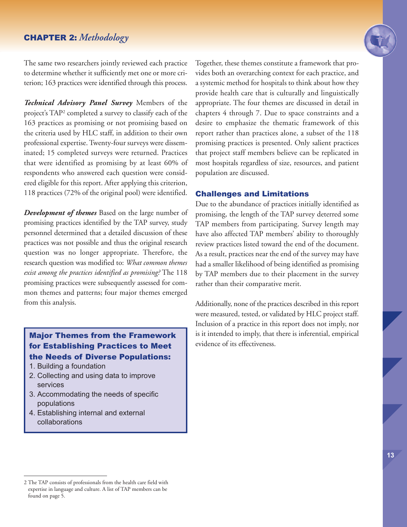The same two researchers jointly reviewed each practice to determine whether it sufficiently met one or more criterion; 163 practices were identified through this process.

*Technical Advisory Panel Survey* Members of the project's TAP2 completed a survey to classify each of the 163 practices as promising or not promising based on the criteria used by HLC staff, in addition to their own professional expertise. Twenty-four surveys were disseminated; 15 completed surveys were returned. Practices that were identified as promising by at least 60% of respondents who answered each question were considered eligible for this report. After applying this criterion, 118 practices (72% of the original pool) were identified.

*Development of themes* Based on the large number of promising practices identified by the TAP survey, study personnel determined that a detailed discussion of these practices was not possible and thus the original research question was no longer appropriate. Therefore, the research question was modified to: *What common themes exist among the practices identified as promising?* The 118 promising practices were subsequently assessed for common themes and patterns; four major themes emerged from this analysis.

## Major Themes from the Framework for Establishing Practices to Meet the Needs of Diverse Populations:

- 1. Building a foundation
- 2. Collecting and using data to improve services
- 3. Accommodating the needs of specific populations
- 4. Establishing internal and external collaborations

Together, these themes constitute a framework that provides both an overarching context for each practice, and a systemic method for hospitals to think about how they provide health care that is culturally and linguistically appropriate. The four themes are discussed in detail in chapters 4 through 7. Due to space constraints and a desire to emphasize the thematic framework of this report rather than practices alone, a subset of the 118 promising practices is presented. Only salient practices that project staff members believe can be replicated in most hospitals regardless of size, resources, and patient population are discussed.

#### Challenges and Limitations

Due to the abundance of practices initially identified as promising, the length of the TAP survey deterred some TAP members from participating. Survey length may have also affected TAP members' ability to thoroughly review practices listed toward the end of the document. As a result, practices near the end of the survey may have had a smaller likelihood of being identified as promising by TAP members due to their placement in the survey rather than their comparative merit.

Additionally, none of the practices described in this report were measured, tested, or validated by HLC project staff. Inclusion of a practice in this report does not imply, nor is it intended to imply, that there is inferential, empirical evidence of its effectiveness.



<sup>2</sup> The TAP consists of professionals from the health care field with expertise in language and culture. A list of TAP members can be found on page 5.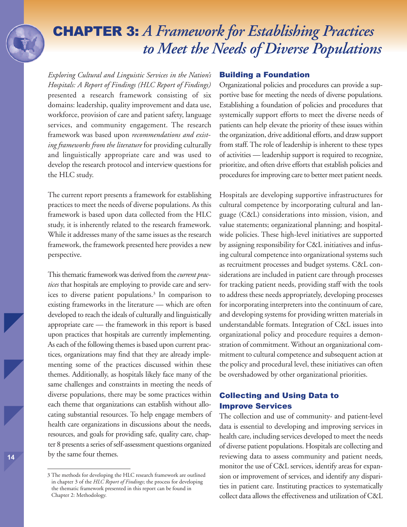## CHAPTER 3: *A Framework for Establishing Practices to Meet the Needs of Diverse Populations*

*Exploring Cultural and Linguistic Services in the Nation's Hospitals: A Report of Findings (HLC Report of Findings)* presented a research framework consisting of six domains: leadership, quality improvement and data use, workforce, provision of care and patient safety, language services, and community engagement. The research framework was based upon *recommendations and existing frameworks from the literature* for providing culturally and linguistically appropriate care and was used to develop the research protocol and interview questions for the HLC study.

The current report presents a framework for establishing practices to meet the needs of diverse populations. As this framework is based upon data collected from the HLC study, it is inherently related to the research framework. While it addresses many of the same issues as the research framework, the framework presented here provides a new perspective.

This thematic framework was derived from the*current practices* that hospitals are employing to provide care and services to diverse patient populations. <sup>3</sup> In comparison to existing frameworks in the literature — which are often developed to reach the ideals of culturally and linguistically appropriate care — the framework in this report is based upon practices that hospitals are currently implementing. As each of the following themes is based upon current practices, organizations may find that they are already implementing some of the practices discussed within these themes. Additionally, as hospitals likely face many of the same challenges and constraints in meeting the needs of diverse populations, there may be some practices within each theme that organizations can establish without allocating substantial resources. To help engage members of health care organizations in discussions about the needs, resources, and goals for providing safe, quality care, chapter 8 presents a series of self-assessment questions organized by the same four themes.

#### Building a Foundation

Organizational policies and procedures can provide a supportive base for meeting the needs of diverse populations. Establishing a foundation of policies and procedures that systemically support efforts to meet the diverse needs of patients can help elevate the priority of these issues within the organization, drive additional efforts, and draw support from staff. The role of leadership is inherent to these types of activities — leadership support is required to recognize, prioritize, and often drive efforts that establish policies and procedures for improving care to better meet patient needs.

Hospitals are developing supportive infrastructures for cultural competence by incorporating cultural and language (C&L) considerations into mission, vision, and value statements; organizational planning; and hospitalwide policies. These high-level initiatives are supported by assigning responsibility for C&L initiatives and infusing cultural competence into organizational systems such as recruitment processes and budget systems. C&L considerations are included in patient care through processes for tracking patient needs, providing staff with the tools to address these needs appropriately, developing processes for incorporating interpreters into the continuum of care, and developing systems for providing written materials in understandable formats. Integration of C&L issues into organizational policy and procedure requires a demonstration of commitment. Without an organizational commitment to cultural competence and subsequent action at the policy and procedural level, these initiatives can often be overshadowed by other organizational priorities.

## Collecting and Using Data to Improve Services

The collection and use of community- and patient-level data is essential to developing and improving services in health care, including services developed to meet the needs of diverse patient populations. Hospitals are collecting and reviewing data to assess community and patient needs, monitor the use of C&L services, identify areas for expansion or improvement of services, and identify any disparities in patient care. Instituting practices to systematically collect data allows the effectiveness and utilization of C&L

<sup>3</sup> The methods for developing the HLC research framework are outlined in chapter 3 of the *HLC Report of Findings*; the process for developing the thematic framework presented in this report can be found in Chapter 2: Methodology.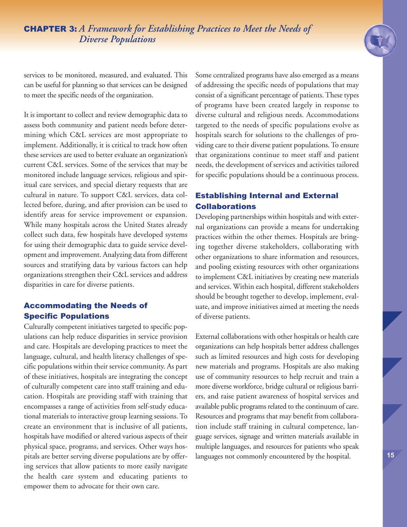services to be monitored, measured, and evaluated. This can be useful for planning so that services can be designed to meet the specific needs of the organization.

It is important to collect and review demographic data to assess both community and patient needs before determining which C&L services are most appropriate to implement. Additionally, it is critical to track how often these services are used to better evaluate an organization's current C&L services. Some of the services that may be monitored include language services, religious and spiritual care services, and special dietary requests that are cultural in nature. To support C&L services, data collected before, during, and after provision can be used to identify areas for service improvement or expansion. While many hospitals across the United States already collect such data, few hospitals have developed systems for using their demographic data to guide service development and improvement. Analyzing data from different sources and stratifying data by various factors can help organizations strengthen their C&L services and address disparities in care for diverse patients.

## Accommodating the Needs of Specific Populations

Culturally competent initiatives targeted to specific populations can help reduce disparities in service provision and care. Hospitals are developing practices to meet the language, cultural, and health literacy challenges of specific populations within their service community. As part of these initiatives, hospitals are integrating the concept of culturally competent care into staff training and education. Hospitals are providing staff with training that encompasses a range of activities from self-study educational materials to interactive group learning sessions.To create an environment that is inclusive of all patients, hospitals have modified or altered various aspects of their physical space, programs, and services. Other ways hospitals are better serving diverse populations are by offering services that allow patients to more easily navigate the health care system and educating patients to empower them to advocate for their own care.

Some centralized programs have also emerged as a means of addressing the specific needs of populations that may consist of a significant percentage of patients.These types of programs have been created largely in response to diverse cultural and religious needs. Accommodations targeted to the needs of specific populations evolve as hospitals search for solutions to the challenges of providing care to their diverse patient populations.To ensure that organizations continue to meet staff and patient needs, the development of services and activities tailored for specific populations should be a continuous process.

## Establishing Internal and External Collaborations

Developing partnerships within hospitals and with external organizations can provide a means for undertaking practices within the other themes. Hospitals are bringing together diverse stakeholders, collaborating with other organizations to share information and resources, and pooling existing resources with other organizations to implement C&L initiatives by creating new materials and services. Within each hospital, different stakeholders should be brought together to develop, implement, evaluate, and improve initiatives aimed at meeting the needs of diverse patients.

External collaborations with other hospitals or health care organizations can help hospitals better address challenges such as limited resources and high costs for developing new materials and programs. Hospitals are also making use of community resources to help recruit and train a more diverse workforce, bridge cultural or religious barriers, and raise patient awareness of hospital services and available public programs related to the continuum of care. Resources and programs that may benefit from collaboration include staff training in cultural competence, language services, signage and written materials available in multiple languages, and resources for patients who speak languages not commonly encountered by the hospital.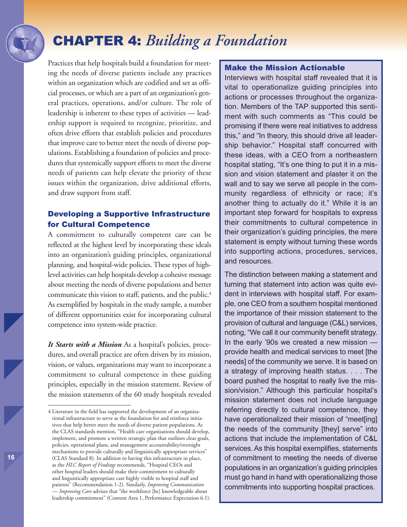## CHAPTER 4: *Building a Foundation*

Practices that help hospitals build a foundation for meeting the needs of diverse patients include any practices within an organization which are codified and set as official processes, or which are a part of an organization's general practices, operations, and/or culture. The role of leadership is inherent to these types of activities — leadership support is required to recognize, prioritize, and often drive efforts that establish policies and procedures that improve care to better meet the needs of diverse populations. Establishing a foundation of policies and procedures that systemically support efforts to meet the diverse needs of patients can help elevate the priority of these issues within the organization, drive additional efforts, and draw support from staff.

## Developing a Supportive Infrastructure for Cultural Competence

A commitment to culturally competent care can be reflected at the highest level by incorporating these ideals into an organization's guiding principles, organizational planning, and hospital-wide policies. These types of highlevel activities can help hospitals develop a cohesive message about meeting the needs of diverse populations and better communicate this vision to staff, patients, and the public.<sup>4</sup> As exemplified by hospitals in the study sample, a number of different opportunities exist for incorporating cultural competence into system-wide practice.

*It Starts with a Mission* As a hospital's policies, procedures, and overall practice are often driven by its mission, vision, or values, organizations may want to incorporate a commitment to cultural competence in these guiding principles, especially in the mission statement. Review of the mission statements of the 60 study hospitals revealed

#### Make the Mission Actionable

Interviews with hospital staff revealed that it is vital to operationalize guiding principles into actions or processes throughout the organization. Members of the TAP supported this sentiment with such comments as "This could be promising if there were real initiatives to address this," and "In theory, this should drive all leadership behavior." Hospital staff concurred with these ideas, with a CEO from a northeastern hospital stating, "It's one thing to put it in a mission and vision statement and plaster it on the wall and to say we serve all people in the community regardless of ethnicity or race; it's another thing to actually do it." While it is an important step forward for hospitals to express their commitments to cultural competence in their organization's guiding principles, the mere statement is empty without turning these words into supporting actions, procedures, services, and resources.

The distinction between making a statement and turning that statement into action was quite evident in interviews with hospital staff. For example, one CEO from a southern hospital mentioned the importance of their mission statement to the provision of cultural and language (C&L) services, noting, "We call it our community benefit strategy. In the early '90s we created a new mission provide health and medical services to meet [the needs] of the community we serve. It is based on a strategy of improving health status. . . . The board pushed the hospital to really live the mission/vision." Although this particular hospital's mission statement does not include language referring directly to cultural competence, they have operationalized their mission of "meet[ing] the needs of the community [they] serve" into actions that include the implementation of C&L services. As this hospital exemplifies, statements of commitment to meeting the needs of diverse populations in an organization's guiding principles must go hand in hand with operationalizing those commitments into supporting hospital practices.

<sup>4</sup> Literature in the field has supported the development of an organizational infrastructure to serve as the foundation for and reinforce initiatives that help better meet the needs of diverse patient populations. As the CLAS standards mention, "Health care organizations should develop, implement, and promote a written strategic plan that outlines clear goals, policies, operational plans, and management accountability/oversight mechanisms to provide culturally and linguistically appropriate services" (CLAS Standard 8). In addition to having this infrastructure in place, as the *HLC Report of Findings* recommends, "Hospital CEOs and other hospital leaders should make their commitment to culturally and linguistically appropriate care highly visible to hospital staff and patients" (Recommendation 1-2). Similarly, *Improving Communication — Improving Care* advises that "the workforce [be] knowledgeable about leadership commitment" (Content Area 1, Performance Expectation 6.1).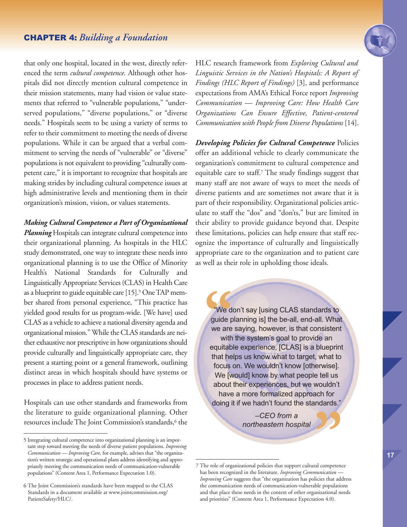## CHAPTER 4: *Building a Foundation*

that only one hospital, located in the west, directly referenced the term *cultural competence.* Although other hospitals did not directly mention cultural competence in their mission statements, many had vision or value statements that referred to "vulnerable populations," "underserved populations," "diverse populations," or "diverse needs." Hospitals seem to be using a variety of terms to refer to their commitment to meeting the needs of diverse populations. While it can be argued that a verbal commitment to serving the needs of "vulnerable" or "diverse" populations is not equivalent to providing "culturally competent care," it is important to recognize that hospitals are making strides by including cultural competence issues at high administrative levels and mentioning them in their organization's mission, vision, or values statements.

#### *Making Cultural Competence a Part of Organizational*

Planning Hospitals can integrate cultural competence into their organizational planning. As hospitals in the HLC study demonstrated, one way to integrate these needs into organizational planning is to use the Office of Minority Health's National Standards for Culturally and Linguistically Appropriate Services (CLAS) in Health Care as a blueprint to guide equitable care [15].<sup>5</sup> One TAP member shared from personal experience, "This practice has yielded good results for us program-wide. [We have] used CLAS as a vehicle to achieve a national diversity agenda and organizational mission." While the CLAS standards are neither exhaustive nor prescriptive in how organizations should provide culturally and linguistically appropriate care, they present a starting point or a general framework, outlining distinct areas in which hospitals should have systems or processes in place to address patient needs.

Hospitals can use other standards and frameworks from the literature to guide organizational planning. Other resources includeThe Joint Commission's standards, <sup>6</sup> the

HLC research framework from *Exploring Cultural and Linguistic Services in the Nation's Hospitals: A Report of Findings (HLC Report of Findings)* [3], and performance expectations from AMA's Ethical Force report *Improving Communication — Improving Care: How Health Care Organizations Can Ensure Effective, Patient-centered Communication with People from Diverse Populations* [14].

*Developing Policies for Cultural Competence* Policies offer an additional vehicle to clearly communicate the organization's commitment to cultural competence and equitable care to staff. <sup>7</sup> The study findings suggest that many staff are not aware of ways to meet the needs of diverse patients and are sometimes not aware that it is part of their responsibility. Organizational policies articulate to staff the "dos" and "don'ts," but are limited in their ability to provide guidance beyond that. Despite these limitations, policies can help ensure that staff recognize the importance of culturally and linguistically appropriate care to the organization and to patient care as well as their role in upholding those ideals.

We d<br>
guide p<br>
we are<br>
with<br>
equitab "We don't say [using CLAS standards to guide planning is] the be-all, end-all. What we are saying, however, is that consistent with the system's goal to provide an equitable experience, [CLAS] is a blueprint that helps us know what to target, what to focus on. We wouldn't know [otherwise]. We [would] know by what people tell us about their experiences, but we wouldn't have a more formalized approach for doing it if we hadn't found the standards."

*–CEO from a northeastern hospital* The role of organizational policies that support cultural competence

<sup>5</sup> Integrating cultural competence into organizational planning is an important step toward meeting the needs of diverse patient populations. *Improving Communication — Improving Care,* for example, advises that "the organization's written strategic and operational plans address identifying and appropriately meeting the communication needs of communication-vulnerable populations" (Content Area 1, Performance Expectation 1.0).

<sup>6</sup> The Joint Commission's standards have been mapped to the CLAS Standards in a document available at www.jointcommission.org/ PatientSafety/HLC/.

has been recognized in the literature. *Improving Communication — Improving Care* suggests that "the organization has policies that address the communication needs of communication-vulnerable populations and that place these needs in the context of other organizational needs and priorities" (Content Area 1, Performance Expectation 4.0).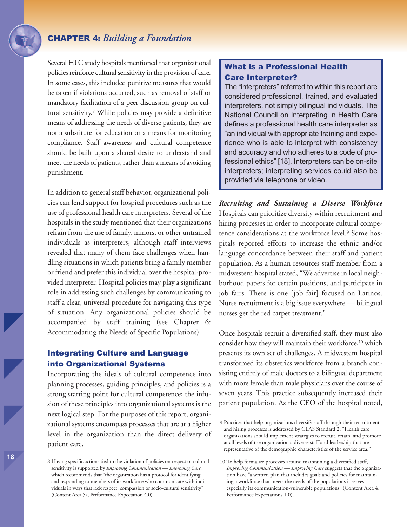Several HLC study hospitals mentioned that organizational policies reinforce cultural sensitivity in the provision of care. In some cases, this included punitive measures that would be taken if violations occurred, such as removal of staff or mandatory facilitation of a peer discussion group on cultural sensitivity. <sup>8</sup> While policies may provide a definitive means of addressing the needs of diverse patients, they are not a substitute for education or a means for monitoring compliance. Staff awareness and cultural competence should be built upon a shared desire to understand and meet the needs of patients, rather than a means of avoiding punishment.

In addition to general staff behavior, organizational policies can lend support for hospital procedures such as the use of professional health care interpreters. Several of the hospitals in the study mentioned that their organizations refrain from the use of family, minors, or other untrained individuals as interpreters, although staff interviews revealed that many of them face challenges when handling situations in which patients bring a family member or friend and prefer this individual over the hospital-provided interpreter. Hospital policies may play a significant role in addressing such challenges by communicating to staff a clear, universal procedure for navigating this type of situation. Any organizational policies should be accompanied by staff training (see Chapter 6: Accommodating the Needs of Specific Populations).

## Integrating Culture and Language into Organizational Systems

Incorporating the ideals of cultural competence into planning processes, guiding principles, and policies is a strong starting point for cultural competence; the infusion of these principles into organizational systems is the next logical step. For the purposes of this report, organizational systems encompass processes that are at a higher level in the organization than the direct delivery of patient care.

## What is a Professional Health Care Interpreter?

The "interpreters" referred to within this report are considered professional, trained, and evaluated interpreters, not simply bilingual individuals. The National Council on Interpreting in Health Care defines a professional health care interpreter as "an individual with appropriate training and experience who is able to interpret with consistency and accuracy and who adheres to a code of professional ethics" [18]. Interpreters can be on-site interpreters; interpreting services could also be provided via telephone or video.

*Recruiting and Sustaining a Diverse Workforce* Hospitals can prioritize diversity within recruitment and hiring processes in order to incorporate cultural competence considerations at the workforce level. <sup>9</sup> Some hospitals reported efforts to increase the ethnic and/or language concordance between their staff and patient population. As a human resources staff member from a midwestern hospital stated, "We advertise in local neighborhood papers for certain positions, and participate in job fairs. There is one [job fair] focused on Latinos. Nurse recruitment is a big issue everywhere — bilingual nurses get the red carpet treatment."

Once hospitals recruit a diversified staff, they must also consider how they will maintain their workforce, <sup>10</sup> which presents its own set of challenges. A midwestern hospital transformed its obstetrics workforce from a branch consisting entirely of male doctors to a bilingual department with more female than male physicians over the course of seven years. This practice subsequently increased their patient population. As the CEO of the hospital noted,

<sup>8</sup> Having specific actions tied to the violation of policies on respect or cultural sensitivity is supported by *Improving Communication — Improving Care,* which recommends that "the organization has a protocol for identifying and responding to members of its workforce who communicate with individuals in ways that lack respect, compassion or socio-cultural sensitivity" (Content Area 5a, Performance Expectation 4.0).

<sup>9</sup> Practices that help organizations diversify staff through their recruitment and hiring processes is addressed by CLAS Standard 2: "Health care organizations should implement strategies to recruit, retain, and promote at all levels of the organization a diverse staff and leadership that are representative of the demographic characteristics of the service area."

<sup>10</sup> To help formalize processes around maintaining a diversified staff, *Improving Communication — Improving Care* suggests that the organization have "a written plan that includes goals and policies for maintaining a workforce that meets the needs of the populations it serves especially its communication-vulnerable populations" (Content Area 4, Performance Expectations 1.0).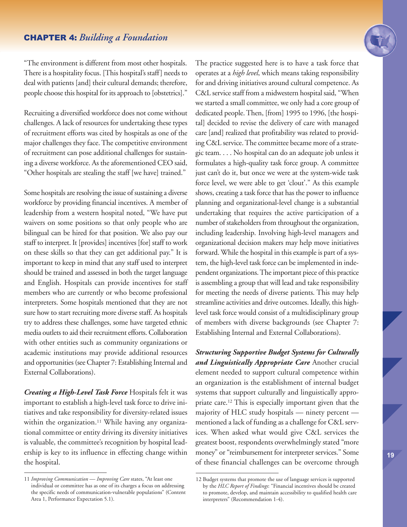"The environment is different from most other hospitals. There is a hospitality focus. [This hospital's staff] needs to deal with patients [and] their cultural demands; therefore, people choose this hospital for its approach to [obstetrics]."

Recruiting a diversified workforce does not come without challenges. A lack of resources for undertaking these types of recruitment efforts was cited by hospitals as one of the major challenges they face. The competitive environment of recruitment can pose additional challenges for sustaining a diverse workforce. As the aforementioned CEO said, "Other hospitals are stealing the staff [we have] trained."

Some hospitals are resolving the issue of sustaining a diverse workforce by providing financial incentives. A member of leadership from a western hospital noted, "We have put waivers on some positions so that only people who are bilingual can be hired for that position. We also pay our staff to interpret. It [provides] incentives [for] staff to work on these skills so that they can get additional pay." It is important to keep in mind that any staff used to interpret should be trained and assessed in both the target language and English. Hospitals can provide incentives for staff members who are currently or who become professional interpreters. Some hospitals mentioned that they are not sure how to start recruiting more diverse staff. As hospitals try to address these challenges, some have targeted ethnic media outlets to aid their recruitment efforts. Collaboration with other entities such as community organizations or academic institutions may provide additional resources and opportunities (seeChapter 7: Establishing Internal and External Collaborations).

*Creating a High-Level Task Force* Hospitals felt it was important to establish a high-level task force to drive initiatives and take responsibility for diversity-related issues within the organization. <sup>11</sup> While having any organizational committee or entity driving its diversity initiatives is valuable, the committee's recognition by hospital leadership is key to its influence in effecting change within the hospital.

The practice suggested here is to have a task force that operates at a *high level*, which means taking responsibility for and driving initiatives around cultural competence. As C&L service staff from a midwestern hospital said, "When we started a small committee, we only had a core group of dedicated people.Then, [from] 1995 to 1996, [the hospital] decided to revise the delivery of care with managed care [and] realized that profitability was related to providing C&L service. The committee became more of a strategic team. . . . No hospital can do an adequate job unless it formulates a high-quality task force group. A committee just can't do it, but once we were at the system-wide task force level, we were able to get 'clout'." As this example shows, creating a task force that has the power to influence planning and organizational-level change is a substantial undertaking that requires the active participation of a number of stakeholders from throughout the organization, including leadership. Involving high-level managers and organizational decision makers may help move initiatives forward. While the hospital in this example is part of a system, the high-level task force can be implemented in independent organizations. The important piece of this practice is assembling a group that will lead and take responsibility for meeting the needs of diverse patients. This may help streamline activities and drive outcomes. Ideally, this highlevel task force would consist of a multidisciplinary group of members with diverse backgrounds (see Chapter 7: Establishing Internal and External Collaborations).

*Structuring Supportive Budget Systems for Culturally and Linguistically Appropriate Care* Another crucial element needed to support cultural competence within an organization is the establishment of internal budget systems that support culturally and linguistically appropriate care. <sup>12</sup> This is especially important given that the majority of HLC study hospitals — ninety percent mentioned a lack of funding as a challenge for C&L services. When asked what would give C&L services the greatest boost, respondents overwhelmingly stated "more money" or "reimbursement for interpreter services." Some of these financial challenges can be overcome through

<sup>11</sup> *Improving Communication — Improving Care* states, "At least one individual or committee has as one of its charges a focus on addressing the specific needs of communication-vulnerable populations" (Content Area 1, Performance Expectation 5.1).

<sup>12</sup> Budget systems that promote the use of language services is supported by the *HLC Report of Findings*: "Financial incentives should be created to promote, develop, and maintain accessibility to qualified health care interpreters" (Recommendation 1-4).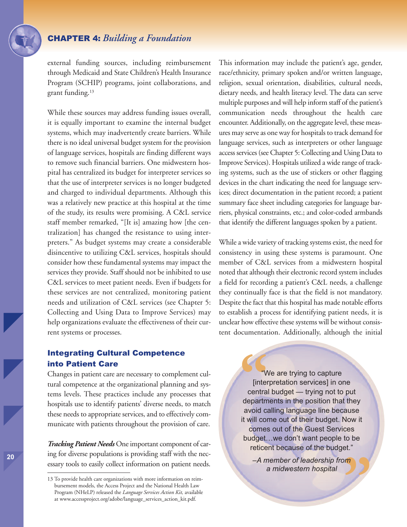external funding sources, including reimbursement through Medicaid and State Children's Health Insurance Program (SCHIP) programs, joint collaborations, and grant funding. 13

While these sources may address funding issues overall, it is equally important to examine the internal budget systems, which may inadvertently create barriers. While there is no ideal universal budget system for the provision of language services, hospitals are finding different ways to remove such financial barriers. One midwestern hospital has centralized its budget for interpreter services so that the use of interpreter services is no longer budgeted and charged to individual departments. Although this was a relatively new practice at this hospital at the time of the study, its results were promising. A C&L service staff member remarked, "[It is] amazing how [the centralization] has changed the resistance to using interpreters." As budget systems may create a considerable disincentive to utilizing C&L services, hospitals should consider how these fundamental systems may impact the services they provide. Staff should not be inhibited to use C&L services to meet patient needs. Even if budgets for these services are not centralized, monitoring patient needs and utilization of C&L services (see Chapter 5: Collecting and Using Data to Improve Services) may help organizations evaluate the effectiveness of their current systems or processes.

This information may include the patient's age, gender, race/ethnicity, primary spoken and/or written language, religion, sexual orientation, disabilities, cultural needs, dietary needs, and health literacy level. The data can serve multiple purposes and will help inform staff of the patient's communication needs throughout the health care encounter. Additionally, on the aggregate level, these measures may serve as one way for hospitals to track demand for language services, such as interpreters or other language access services (see Chapter 5: Collecting and Using Data to Improve Services). Hospitals utilized a wide range of tracking systems, such as the use of stickers or other flagging devices in the chart indicating the need for language services; direct documentation in the patient record; a patient summary face sheet including categories for language barriers, physical constraints, etc.; and color-coded armbands that identify the different languages spoken by a patient.

While a wide variety of tracking systems exist, the need for consistency in using these systems is paramount. One member of C&L services from a midwestern hospital noted that although their electronic record system includes a field for recording a patient's C&L needs, a challenge they continually face is that the field is not mandatory. Despite the fact that this hospital has made notable efforts to establish a process for identifying patient needs, it is unclear how effective these systems will be without consistent documentation. Additionally, although the initial

## Integrating Cultural Competence into Patient Care

Changes in patient care are necessary to complement cultural competence at the organizational planning and systems levels. These practices include any processes that hospitals use to identify patients' diverse needs, to match these needs to appropriate services, and to effectively communicate with patients throughout the provision of care.

*Tracking Patient Needs* Oneimportant component of caring for diverse populations is providing staff with the necessary tools to easily collect information on patient needs. **14**<br>
[inter<br>
centra<br>
departm<br>
avoid ca "We are trying to capture [interpretation services] in one central budget — trying not to put departments in the position that they avoid calling language line because it will come out of their budget. Now it comes out of the Guest Services budget…we don't want people to be reticent because of the budget."

**"** *–A member of leadership from a midwestern hospital*

<sup>13</sup> To provide health care organizations with more information on reimbursement models, the Access Project and the National Health Law Program (NHeLP) released the *Language Services Action Kit,* available at www.accessproject.org/adobe/language\_services\_action\_kit.pdf.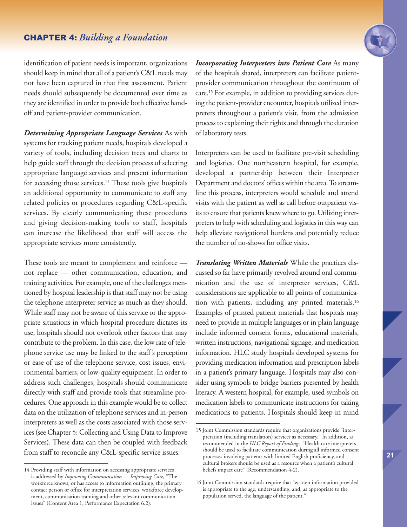## CHAPTER 4: *Building a Foundation*



identification of patient needs is important, organizations should keep in mind that all of a patient's C&L needs may not have been captured in that first assessment. Patient needs should subsequently be documented over time as they are identified in order to provide both effective handoff and patient-provider communication.

*Determining Appropriate Language Services* As with systems for tracking patient needs, hospitals developed a variety of tools, including decision trees and charts to help guide staff through the decision process of selecting appropriate language services and present information for accessing those services. <sup>14</sup> These tools give hospitals an additional opportunity to communicate to staff any related policies or procedures regarding C&L-specific services. By clearly communicating these procedures and giving decision-making tools to staff, hospitals can increase the likelihood that staff will access the appropriate services more consistently.

These tools are meant to complement and reinforce not replace — other communication, education, and training activities. For example, one of the challenges mentioned by hospital leadership is that staff may not be using the telephone interpreter service as much as they should. While staff may not be aware of this service or the appropriate situations in which hospital procedure dictates its use, hospitals should not overlook other factors that may contribute to the problem. In this case, the low rate of telephone service use may be linked to the staff's perception or ease of use of the telephone service, cost issues, environmental barriers, or low-quality equipment. In order to address such challenges, hospitals should communicate directly with staff and provide tools that streamline procedures. One approach in this example would be to collect data on the utilization of telephone services and in-person interpreters as well as the costs associated with those services (see Chapter 5: Collecting and Using Data to Improve Services). These data can then be coupled with feedback from staff to reconcile any C&L-specific service issues.

*Incorporating Interpreters into Patient Care* As many of the hospitals shared, interpreters can facilitate patientprovider communication throughout the continuum of care. <sup>15</sup> For example, in addition to providing services during the patient-provider encounter, hospitals utilized interpreters throughout a patient's visit, from the admission process to explaining their rights and through the duration of laboratory tests.

Interpreters can be used to facilitate pre-visit scheduling and logistics. One northeastern hospital, for example, developed a partnership between their Interpreter Department and doctors' offices within the area.To streamline this process, interpreters would schedule and attend visits with the patient as well as call before outpatient visits to ensure that patients knew where to go. Utilizing interpreters to help with scheduling and logistics in this way can help alleviate navigational burdens and potentially reduce the number of no-shows for office visits.

*Translating Written Materials* While the practices discussed so far have primarily revolved around oral communication and the use of interpreter services, C&L considerations are applicable to all points of communication with patients, including any printed materials. 16 Examples of printed patient materials that hospitals may need to provide in multiple languages or in plain language include informed consent forms, educational materials, written instructions, navigational signage, and medication information. HLC study hospitals developed systems for providing medication information and prescription labels in a patient's primary language. Hospitals may also consider using symbols to bridge barriers presented by health literacy. A western hospital, for example, used symbols on medication labels to communicate instructions for taking medications to patients. Hospitals should keep in mind

<sup>14</sup> Providing staff with information on accessing appropriate services is addressed by *Improving Communication — Improving Care,* "The workforce knows, or has access to information outlining, the primary contact person or office for interpretation services, workforce development, communication training and other relevant communication issues" (Content Area 1, Performance Expectation 6.2).

<sup>15</sup> Joint Commission standards require that organizations provide "interpretation (including translation) services as necessary." In addition, as recommended in the *HLC Report of Findings,* "Health care interpreters should be used to facilitate communication during all informed consent processes involving patients with limited English proficiency, and cultural brokers should be used as a resource when a patient's cultural beliefs impact care" (Recommendation 4-2).

<sup>16</sup> Joint Commission standards require that "written information provided is appropriate to the age, understanding, and, as appropriate to the population served, the language of the patient."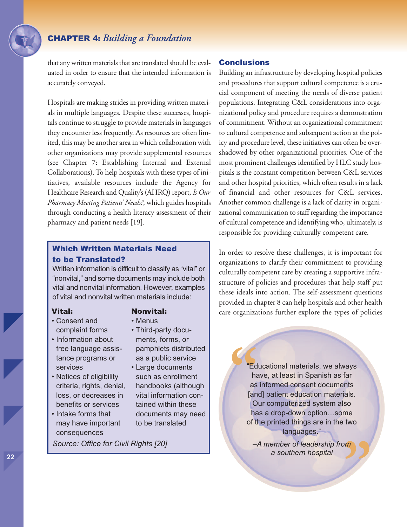that any written materials that are translated should be evaluated in order to ensure that the intended information is accurately conveyed.

Hospitals are making strides in providing written materials in multiple languages. Despite these successes, hospitals continue to struggle to provide materials in languages they encounter less frequently. As resources are often limited, this may be another area in which collaboration with other organizations may provide supplemental resources (see Chapter 7: Establishing Internal and External Collaborations).To help hospitals with these types of initiatives, available resources include the Agency for Healthcare Research and Quality's (AHRQ) report, *Is Our Pharmacy Meeting Patients' Needs?*, which guides hospitals through conducting a health literacy assessment of their pharmacy and patient needs [19].

## Which Written Materials Need to be Translated?

Written information is difficult to classify as "vital" or "nonvital," and some documents may include both vital and nonvital information. However, examples of vital and nonvital written materials include:

#### Vital:

- Consent and complaint forms
- Information about free language assistance programs or services
- Notices of eligibility criteria, rights, denial, loss, or decreases in benefits or services
- Intake forms that may have important consequences

## Nonvital:

- Menus
- Third-party documents, forms, or pamphlets distributed as a public service
- Large documents such as enrollment handbooks (although vital information contained within these documents may need to be translated

*Source: Office for Civil Rights [20]*

## **Conclusions**

Building an infrastructure by developing hospital policies and procedures that support cultural competence is a crucial component of meeting the needs of diverse patient populations. Integrating C&L considerations into organizational policy and procedure requires a demonstration of commitment. Without an organizational commitment to cultural competence and subsequent action at the policy and procedure level, these initiatives can often be overshadowed by other organizational priorities. One of the most prominent challenges identified by HLC study hospitals is the constant competition between C&L services and other hospital priorities, which often results in a lack of financial and other resources for C&L services. Another common challenge is a lack of clarity in organizational communication to staff regarding the importance of cultural competence and identifying who, ultimately, is responsible for providing culturally competent care.

In order to resolve these challenges, it is important for organizations to clarify their commitment to providing culturally competent care by creating a supportive infrastructure of policies and procedures that help staff put these ideals into action. The self-assessment questions provided in chapter 8 can help hospitals and other health care organizations further explore the types of policies

**"** "Educational materials, we always have, at least in Spanish as far as informed consent documents [and] patient education materials. Our computerized system also has a drop-down option…some of the printed things are in the two languages."

> **"** *–A member of leadership from a southern hospital*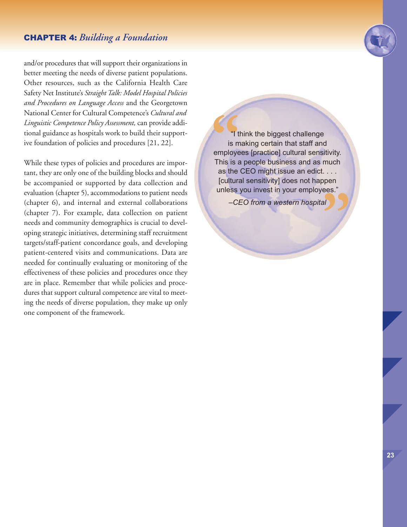## CHAPTER 4: *Building a Foundation*

and/or procedures that will support their organizations in better meeting the needs of diverse patient populations. Other resources, such as the California Health Care Safety Net Institute's *StraightTalk: Model Hospital Policies and Procedures on Language Access* and the Georgetown National Center for Cultural Competence's *Cultural and Linguistic Competence Policy Assessment,* can provide additional guidance as hospitals work to build their supportive foundation of policies and procedures [21, 22].

While these types of policies and procedures are important, they are only one of the building blocks and should be accompanied or supported by data collection and evaluation (chapter 5), accommodations to patient needs (chapter 6), and internal and external collaborations (chapter 7). For example, data collection on patient needs and community demographics is crucial to developing strategic initiatives, determining staff recruitment targets/staff-patient concordance goals, and developing patient-centered visits and communications. Data are needed for continually evaluating or monitoring of the effectiveness of these policies and procedures once they are in place. Remember that while policies and procedures that support cultural competence are vital to meeting the needs of diverse population, they make up only one component of the framework.

<sup>"</sup><sup>"</sup><sup>"</sup><br>
is m<br>
employe<br>
This is a<br>
as the **"** "I think the biggest challenge is making certain that staff and employees [practice] cultural sensitivity. This is a people business and as much as the CEO might issue an edict. . . . [cultural sensitivity] does not happen unless you invest in your employees."

*–CEO from a western hospital*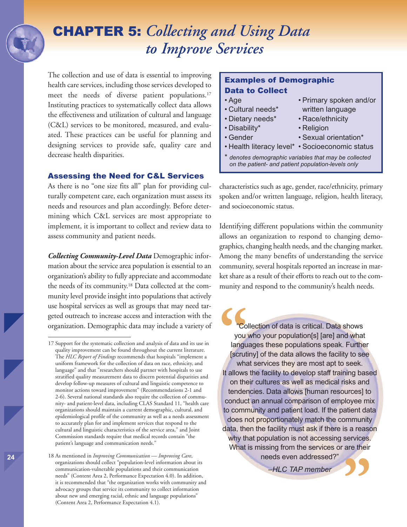## CHAPTER 5: *Collecting and Using Data to Improve Services*

The collection and use of data is essential to improving health care services, including those services developed to meet the needs of diverse patient populations. 17 Instituting practices to systematically collect data allows the effectiveness and utilization of cultural and language (C&L) services to be monitored, measured, and evaluated. These practices can be useful for planning and designing services to provide safe, quality care and decrease health disparities.

#### Assessing the Need for C&L Services

As there is no "one size fits all" plan for providing culturally competent care, each organization must assess its needs and resources and plan accordingly. Before determining which C&L services are most appropriate to implement, it is important to collect and review data to assess community and patient needs.

*Collecting Community-Level Data* Demographic information about the service area population is essential to an organization's ability to fully appreciate and accommodate the needs of its community. <sup>18</sup> Data collected at the community level provide insight into populations that actively use hospital services as well as groups that may need targeted outreach to increase access and interaction with the organization. Demographic data may include a variety of

**24**

## Examples of Demographic Data to Collect

- Age Primary spoken and/or
- 
- 
- Disability\* Religion
- 
- Cultural needs\* written language • Dietary needs\* • Race/ethnicity
	-
- Gender Sexual orientation\*
- Health literacy level\* Socioeconomic status
- \* *denotes demographic variables that may be collected on the patient- and patient population-levels only*

characteristics such as age, gender, race/ethnicity, primary spoken and/or written language, religion, health literacy, and socioeconomic status.

Identifying different populations within the community allows an organization to respond to changing demographics, changing health needs, and the changing market. Among the many benefits of understanding the service community, several hospitals reported an increase in market share as a result of their efforts to reach out to the community and respond to the community's health needs.

**Co**<br>
you<br>
langu<br>
[scruti what Collection of data is critical. Data shows you who your population[s] [are] and what languages these populations speak. Further [scrutiny] of the data allows the facility to see what services they are most apt to seek. It allows the facility to develop staff training based on their cultures as well as medical risks and tendencies. Data allows [human resources] to conduct an annual comparison of employee mix to community and patient load. If the patient data does not proportionately match the community data, then the facility must ask if there is a reason why that population is not accessing services. What is missing from the services or are their needs even addressed?"

*–HLC TAP member*



<sup>17</sup> Support for the systematic collection and analysis of data and its use in quality improvement can be found throughout the current literature. The *HLC Report of Findings* recommends that hospitals "implement a uniform framework for the collection of data on race, ethnicity, and language" and that "researchers should partner with hospitals to use stratified quality measurement data to discern potential disparities and develop follow-up measures of cultural and linguistic competence to monitor actions toward improvement" (Recommendations 2-1 and 2-6). Several national standards also require the collection of community- and patient-level data, including CLAS Standard 11, "health care organizations should maintain a current demographic, cultural, and epidemiological profile of the community as well as a needs assessment to accurately plan for and implement services that respond to the cultural and linguistic characteristics of the service area," and Joint Commission standards require that medical records contain "the patient's language and communication needs."

<sup>18</sup> As mentioned in *Improving Communication — Improving Care*, organizations should collect "population-level information about its communication-vulnerable populations and their communication needs" (Content Area 2, Performance Expectation 4.0). In addition, it is recommended that "the organization works with community and advocacy groups that service its community to collect information about new and emerging racial, ethnic and language populations" (Content Area 2, Performance Expectation 4.1).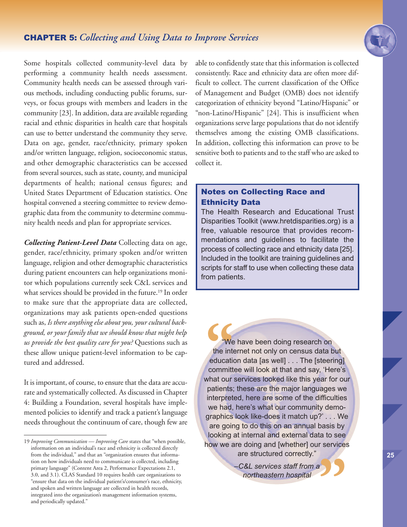

Some hospitals collected community-level data by performing a community health needs assessment. Community health needs can be assessed through various methods, including conducting public forums, surveys, or focus groups with members and leaders in the community [23]. In addition, data are available regarding racial and ethnic disparities in health care that hospitals can use to better understand the community they serve. Data on age, gender, race/ethnicity, primary spoken and/or written language, religion, socioeconomic status, and other demographic characteristics can be accessed from several sources, such as state, county, and municipal departments of health; national census figures; and United States Department of Education statistics. One hospital convened a steering committee to review demographic data from the community to determine community health needs and plan for appropriate services.

*Collecting Patient-Level Data* Collecting data on age, gender, race/ethnicity, primary spoken and/or written language, religion and other demographic characteristics during patient encounters can help organizations monitor which populations currently seek C&L services and what services should be provided in the future. <sup>19</sup> In order to make sure that the appropriate data are collected, organizations may ask patients open-ended questions such as, *Is there anything else about you, your cultural background, or your family that we should know that might help us provide the best quality care for you?* Questions such as these allow unique patient-level information to be captured and addressed.

It is important, of course, to ensure that the data are accurate and systematically collected. As discussed in Chapter 4: Building a Foundation, several hospitals have implemented policies to identify and track a patient's language needs throughout the continuum of care, though few are able to confidently state that this information is collected consistently. Race and ethnicity data are often more difficult to collect. The current classification of the Office of Management and Budget (OMB) does not identify categorization of ethnicity beyond "Latino/Hispanic" or "non-Latino/Hispanic" [24]. This is insufficient when organizations serve large populations that do not identify themselves among the existing OMB classifications. In addition, collecting this information can prove to be sensitive both to patients and to the staff who are asked to collect it.

## Notes on Collecting Race and Ethnicity Data

The Health Research and Educational Trust Disparities Toolkit (www.hretdisparities.org) is a free, valuable resource that provides recommendations and guidelines to facilitate the process of collecting race and ethnicity data [25]. Included in the toolkit are training guidelines and scripts for staff to use when collecting these data from patients.

**We**<br>the interesting<br>committed to committed<br>what our "We have been doing research on the internet not only on census data but education data [as well] . . . The [steering] committee will look at that and say, 'Here's what our services looked like this year for our patients; these are the major languages we interpreted, here are some of the difficulties we had, here's what our community demographics look like-does it match up?' . . . We are going to do this on an annual basis by looking at internal and external data to see how we are doing and [whether] our services are structured correctly."

**"** *–C&L services staff from a northeastern hospital*

<sup>19</sup> *Improving Communication — Improving Care* states that "when possible, information on an individual's race and ethnicity is collected directly from the individual," and that an "organization ensures that information on how individuals need to communicate is collected, including primary language" (Content Area 2, Performance Expectations 2.1, 3.0, and 3.1). CLAS Standard 10 requires health care organizations to "ensure that data on the individual patient's/consumer's race, ethnicity, and spoken and written language are collected in health records, integrated into the organization's management information systems, and periodically updated."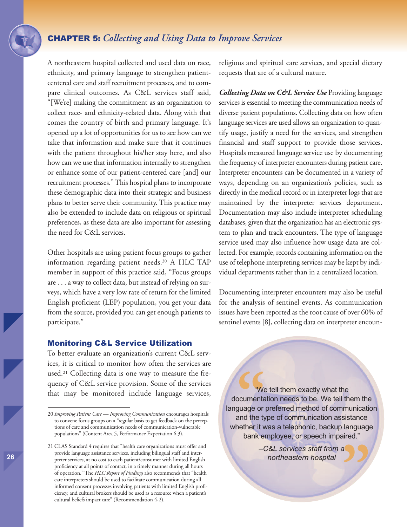## CHAPTER 5: *Collecting and Using Data to Improve Services*

A northeastern hospital collected and used data on race, ethnicity, and primary language to strengthen patientcentered care and staff recruitment processes, and to compare clinical outcomes. As C&L services staff said, "[We're] making the commitment as an organization to collect race- and ethnicity-related data. Along with that comes the country of birth and primary language. It's opened up a lot of opportunities for us to see how can we take that information and make sure that it continues with the patient throughout his/her stay here, and also how can we use that information internally to strengthen or enhance some of our patient-centered care [and] our recruitment processes."This hospital plans to incorporate these demographic data into their strategic and business plans to better serve their community. This practice may also be extended to include data on religious or spiritual preferences, as these data are also important for assessing the need for C&L services.

Other hospitals are using patient focus groups to gather information regarding patient needs.20 A HLC TAP member in support of this practice said, "Focus groups are . . . a way to collect data, but instead of relying on surveys, which have a very low rate of return for the limited English proficient (LEP) population, you get your data from the source, provided you can get enough patients to participate."

#### Monitoring C&L Service Utilization

To better evaluate an organization's current C&L services, it is critical to monitor how often the services are used.21 Collecting data is one way to measure the frequency of C&L service provision. Some of the services that may be monitored include language services, religious and spiritual care services, and special dietary requests that are of a cultural nature.

*Collecting Data on C&L Service Use* Providing language services is essential to meeting the communication needs of diverse patient populations. Collecting data on how often language services are used allows an organization to quantify usage, justify a need for the services, and strengthen financial and staff support to provide those services. Hospitals measured language service use by documenting the frequency of interpreter encounters during patient care. Interpreter encounters can be documented in a variety of ways, depending on an organization's policies, such as directly in the medical record or in interpreter logs that are maintained by the interpreter services department. Documentation may also include interpreter scheduling databases, given that the organization has an electronic system to plan and track encounters. The type of language service used may also influence how usage data are collected. For example, records containing information on the use of telephone interpreting services may be kept by individual departments rather than in a centralized location.

Documenting interpreter encounters may also be useful for the analysis of sentinel events. As communication issues have been reported as the root cause of over 60% of sentinel events [8], collecting data on interpreter encoun-

**C**<br>scumenta<br>guage or<br>and the ty<br>nether it v "We tell them exactly what the documentation needs to be. We tell them the language or preferred method of communication and the type of communication assistance whether it was a telephonic, backup language bank employee, or speech impaired."

> **"** *–C&L services staff from a northeastern hospital*

<sup>20</sup> *Improving Patient Care — Improving Communication* encourages hospitals to convene focus groups on a "regular basis to get feedback on the perceptions of care and communication needs of communication-vulnerable populations" (Content Area 5, Performance Expectation 6.3).

<sup>21</sup> CLAS Standard 4 requires that "health care organizations must offer and provide language assistance services, including bilingual staff and interpreter services, at no cost to each patient/consumer with limited English proficiency at all points of contact, in a timely manner during all hours of operation." The *HLC Report of Findings* also recommends that "health care interpreters should be used to facilitate communication during all informed consent processes involving patients with limited English proficiency, and cultural brokers should be used as a resource when a patient's cultural beliefs impact care" (Recommendation 4-2).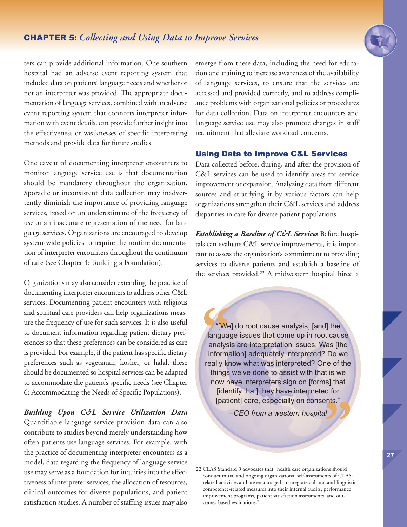## CHAPTER 5: *Collecting and Using Data to Improve Services*



ters can provide additional information. One southern hospital had an adverse event reporting system that included data on patients' language needs and whether or not an interpreter was provided. The appropriate documentation of language services, combined with an adverse event reporting system that connects interpreter information with event details, can provide further insight into the effectiveness or weaknesses of specific interpreting methods and provide data for future studies.

One caveat of documenting interpreter encounters to monitor language service use is that documentation should be mandatory throughout the organization. Sporadic or inconsistent data collection may inadvertently diminish the importance of providing language services, based on an underestimate of the frequency of use or an inaccurate representation of the need for language services. Organizations are encouraged to develop system-wide policies to require the routine documentation of interpreter encounters throughout the continuum of care (see Chapter 4: Building a Foundation).

Organizations may also consider extending the practice of documenting interpreter encounters to address other C&L services. Documenting patient encounters with religious and spiritual care providers can help organizations measure the frequency of use for such services. It is also useful to document information regarding patient dietary preferences so that these preferences can be considered as care is provided. For example, if the patient has specific dietary preferences such as vegetarian, kosher, or halal, these should be documented so hospital services can be adapted to accommodate the patient's specific needs (see Chapter 6: Accommodating the Needs of Specific Populations).

*Building Upon C&L Service Utilization Data* Quantifiable language service provision data can also contribute to studies beyond merely understanding how often patients use language services. For example, with the practice of documenting interpreter encounters as a model, data regarding the frequency of language service use may serve as a foundation for inquiries into the effectiveness of interpreter services, the allocation of resources, clinical outcomes for diverse populations, and patient satisfaction studies. A number of staffing issues may also emerge from these data, including the need for education and training to increase awareness of the availability of language services, to ensure that the services are accessed and provided correctly, and to address compliance problems with organizational policies or procedures for data collection. Data on interpreter encounters and language service use may also promote changes in staff recruitment that alleviate workload concerns.

#### Using Data to Improve C&L Services

Data collected before, during, and after the provision of C&L services can be used to identify areas for service improvement or expansion. Analyzing data from different sources and stratifying it by various factors can help organizations strengthen their C&L services and address disparities in care for diverse patient populations.

*Establishing a Baseline of C&L Services* Before hospitals can evaluate C&L service improvements, it is important to assess the organization's commitment to providing services to diverse patients and establish a baseline of the services provided. <sup>22</sup> A midwestern hospital hired a

"[We] do root cause analysis, [and] the<br>language issues that come up in root cause<br>analysis are interpretation issues. Was [the<br>information] adequately interpreted? Do we<br>really know what was interpreted? One of the **ants.** "[We] do root cause analysis, [and] the language issues that come up in root cause analysis are interpretation issues. Was [the information] adequately interpreted? Do we things we've done to assist with that is we now have interpreters sign on [forms] that [identify that] they have interpreted for [patient] care, especially on consents."

*–CEO from a western hospital*

<sup>22</sup> CLAS Standard 9 advocates that "health care organizations should conduct initial and ongoing organizational self-assessments of CLASrelated activities and are encouraged to integrate cultural and linguistic competence-related measures into their internal audits, performance improvement programs, patient satisfaction assessments, and outcomes-based evaluations."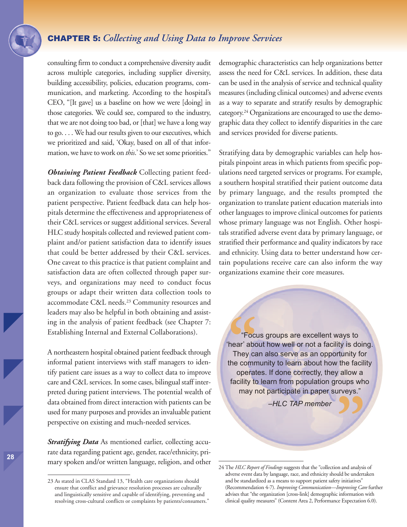## CHAPTER 5: *Collecting and Using Data to Improve Services*

consulting firm to conduct a comprehensive diversity audit across multiple categories, including supplier diversity, building accessibility, policies, education programs, communication, and marketing. According to the hospital's CEO, "[It gave] us a baseline on how we were [doing] in those categories. We could see, compared to the industry, that we are not doing too bad, or [that] we have a long way to go.... We had our results given to our executives, which we prioritized and said, 'Okay, based on all of that information, we have to work on *this*.' So we set some priorities."

*Obtaining Patient Feedback* Collecting patient feedback data following the provision of C&L services allows an organization to evaluate those services from the patient perspective. Patient feedback data can help hospitals determine the effectiveness and appropriateness of their C&L services or suggest additional services. Several HLC study hospitals collected and reviewed patient complaint and/or patient satisfaction data to identify issues that could be better addressed by their C&L services. One caveat to this practice is that patient complaint and satisfaction data are often collected through paper surveys, and organizations may need to conduct focus groups or adapt their written data collection tools to accommodate C&L needs. <sup>23</sup> Community resources and leaders may also be helpful in both obtaining and assisting in the analysis of patient feedback (see Chapter 7: Establishing Internal and External Collaborations).

A northeastern hospital obtained patient feedback through informal patient interviews with staff managers to identify patient care issues as a way to collect data to improve care and C&L services. In some cases, bilingual staff interpreted during patient interviews. The potential wealth of data obtained from direct interaction with patients can be used for many purposes and provides an invaluable patient perspective on existing and much-needed services.

*Stratifying Data* As mentioned earlier, collecting accurate data regarding patient age, gender, race/ethnicity, primary spoken and/or written language, religion, and other demographic characteristics can help organizations better assess the need for C&L services. In addition, these data can be used in the analysis of service and technical quality measures (including clinical outcomes) and adverse events as a way to separate and stratify results by demographic category.<sup>24</sup> Organizations are encouraged to use the demographic data they collect to identify disparities in the care and services provided for diverse patients.

Stratifying data by demographic variables can help hospitals pinpoint areas in which patients from specific populations need targeted services or programs. For example, a southern hospital stratified their patient outcome data by primary language, and the results prompted the organization to translate patient education materials into other languages to improve clinical outcomes for patients whose primary language was not English. Other hospitals stratified adverse event data by primary language, or stratified their performance and quality indicators by race and ethnicity. Using data to better understand how certain populations receive care can also inform the way organizations examine their core measures.

**Example 19**<br> **Example 19**<br> **Example 1991**<br> **Example 2014**<br> **Example 2014**<br> **Example 2014**<br> **ODETA "** "Focus groups are excellent ways to 'hear' about how well or not a facility is doing. They can also serve as an opportunity for the community to learn about how the facility operates. If done correctly, they allow a facility to learn from population groups who may not participate in paper surveys."

*–HLC TAP member*

<sup>23</sup> As stated in CLAS Standard 13, "Health care organizations should ensure that conflict and grievance resolution processes are culturally and linguistically sensitive and capable of identifying, preventing and resolving cross-cultural conflicts or complaints by patients/consumers."

<sup>24</sup> The *HLC Report of Findings* suggests that the "collection and analysis of adverse event data by language, race, and ethnicity should be undertaken and be standardized as a means to support patient safety initiatives" (Recommendation 4-7). *Improving Communication—Improving Care* further advises that "the organization [cross-link] demographic information with clinical quality measures" (Content Area 2, Performance Expectation 6.0).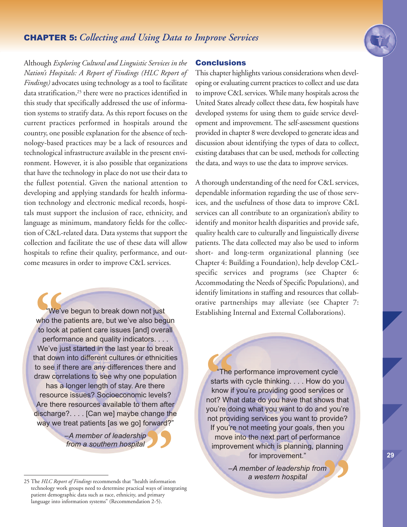

Although *Exploring Cultural and Linguistic Services in the Nation's Hospitals: A Report of Findings (HLC Report of Findings)* advocates using technology as a tool to facilitate data stratification, <sup>25</sup> there were no practices identified in this study that specifically addressed the use of information systems to stratify data. As this report focuses on the current practices performed in hospitals around the country, one possible explanation for the absence of technology-based practices may be a lack of resources and technological infrastructure available in the present environment. However, it is also possible that organizations that have the technology in place do not use their data to the fullest potential. Given the national attention to developing and applying standards for health information technology and electronic medical records, hospitals must support the inclusion of race, ethnicity, and language as minimum, mandatory fields for the collection of C&L-related data. Data systems that support the collection and facilitate the use of these data will allow hospitals to refine their quality, performance, and outcome measures in order to improve C&L services.

We'v<br>
who the<br>
to look a<br>
perform<br>
We've iu "We've begun to break down not just who the patients are, but we've also begun to look at patient care issues [and] overall performance and quality indicators. . . . We've just started in the last year to break that down into different cultures or ethnicities to see if there are any differences there and draw correlations to see why one population has a longer length of stay. Are there resource issues? Socioeconomic levels? Are there resources available to them after discharge?. . . . [Can we] maybe change the way we treat patients [as we go] forward?"

> *–A member of leadership from a southern hospital*

#### **Conclusions**

This chapter highlights various considerations when developing or evaluating current practices to collect and use data to improve C&L services. While many hospitals across the United States already collect these data, few hospitals have developed systems for using them to guide service development and improvement. The self-assessment questions provided in chapter 8 were developed to generate ideas and discussion about identifying the types of data to collect, existing databases that can be used, methods for collecting the data, and ways to use the data to improve services.

A thorough understanding of the need for C&L services, dependable information regarding the use of those services, and the usefulness of those data to improve C&L services can all contribute to an organization's ability to identify and monitor health disparities and provide safe, quality health care to culturally and linguistically diverse patients. The data collected may also be used to inform short- and long-term organizational planning (see Chapter 4: Building a Foundation), help develop C&Lspecific services and programs (see Chapter 6: Accommodating the Needs of Specific Populations), and identify limitations in staffing and resources that collaborative partnerships may alleviate (see Chapter 7: Establishing Internal and External Collaborations).

<sup>"</sup>The starts whow if<br>
not? What<br>
you're do "The performance improvement cycle starts with cycle thinking. . . . How do you know if you're providing good services or not? What data do you have that shows that you're doing what you want to do and you're not providing services you want to provide? If you're not meeting your goals, then you move into the next part of performance improvement which is planning, planning for improvement."

*–A member of leadership from a western hospital* **"**

<sup>25</sup> The *HLC Report of Findings* recommends that "health information technology work groups need to determine practical ways of integrating patient demographic data such as race, ethnicity, and primary language into information systems" (Recommendation 2-5). **S**<br> **h** information<br>
ways of integ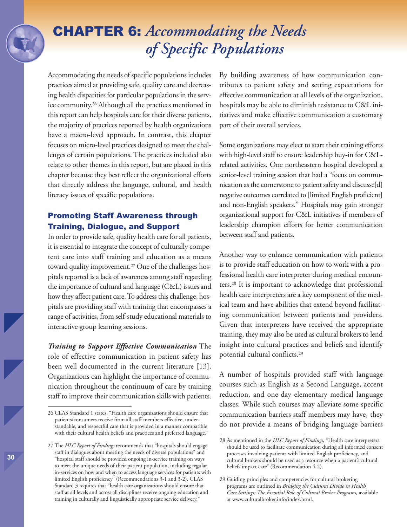Accommodating the needs of specific populations includes practices aimed at providing safe, quality care and decreasing health disparities for particular populations in the service community. <sup>26</sup> Although all the practices mentioned in this report can help hospitals care for their diverse patients, the majority of practices reported by health organizations have a macro-level approach. In contrast, this chapter focuses on micro-level practices designed to meet the challenges of certain populations. The practices included also relate to other themes in this report, but are placed in this chapter because they best reflect the organizational efforts that directly address the language, cultural, and health literacy issues of specific populations.

## Promoting Staff Awareness through Training, Dialogue, and Support

In order to provide safe, quality health care for all patients, it is essential to integrate the concept of culturally competent care into staff training and education as a means toward quality improvement. <sup>27</sup> One of the challenges hospitals reported is a lack of awareness among staff regarding the importance of cultural and language (C&L) issues and how they affect patient care. To address this challenge, hospitals are providing staff with training that encompasses a range of activities, from self-study educational materials to interactive group learning sessions.

*Training to Support Effective Communication* The role of effective communication in patient safety has been well documented in the current literature [13]. Organizations can highlight the importance of communication throughout the continuum of care by training staff to improve their communication skills with patients. By building awareness of how communication contributes to patient safety and setting expectations for effective communication at all levels of the organization, hospitals may be able to diminish resistance to C&L initiatives and make effective communication a customary part of their overall services.

Some organizations may elect to start their training efforts with high-level staff to ensure leadership buy-in for C&Lrelated activities. One northeastern hospital developed a senior-level training session that had a "focus on communication as the cornerstone to patient safety and discusse[d] negative outcomes correlated to [limited English proficient] and non-English speakers." Hospitals may gain stronger organizational support for C&L initiatives if members of leadership champion efforts for better communication between staff and patients.

Another way to enhance communication with patients is to provide staff education on how to work with a professional health care interpreter during medical encounters. <sup>28</sup> It is important to acknowledge that professional health care interpreters are a key component of the medical team and have abilities that extend beyond facilitating communication between patients and providers. Given that interpreters have received the appropriate training, they may also be used as cultural brokers to lend insight into cultural practices and beliefs and identify potential cultural conflicts. 29

A number of hospitals provided staff with language courses such as English as a Second Language, accent reduction, and one-day elementary medical language classes. While such courses may alleviate some specific communication barriers staff members may have, they do not provide a means of bridging language barriers

<sup>26</sup> CLAS Standard 1 states, "Health care organizations should ensure that patients/consumers receive from all staff members effective, understandable, and respectful care that is provided in a manner compatible with their cultural health beliefs and practices and preferred language."

<sup>27</sup> The *HLC Report of Findings* recommends that "hospitals should engage staff in dialogues about meeting the needs of diverse populations" and "hospital staff should be provided ongoing in-service training on ways to meet the unique needs of their patient population, including regular in-services on how and when to access language services for patients with limited English proficiency" (Recommendations 3-1 and 3-2). CLAS Standard 3 requires that "health care organizations should ensure that staff at all levels and across all disciplines receive ongoing education and training in culturally and linguistically appropriate service delivery."

<sup>28</sup> As mentioned in the *HLC Report of Findings*, "Health care interpreters should be used to facilitate communication during all informed consent processes involving patients with limited English proficiency, and cultural brokers should be used as a resource when a patient's cultural beliefs impact care" (Recommendation 4-2).

<sup>29</sup> Guiding principles and competencies for cultural brokering programs are outlined in *Bridging the Cultural Divide in Health Care Settings: The Essential Role of Cultural Broker Programs,* available at www.culturalbroker.info/index.html.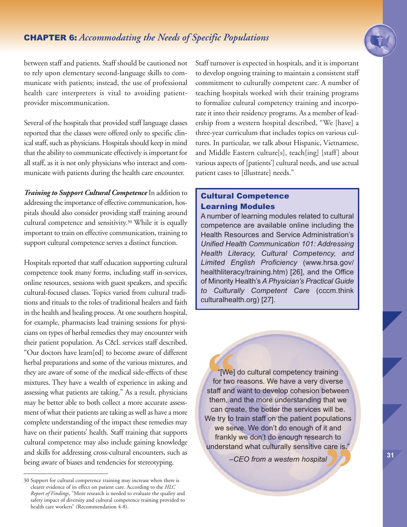

between staff and patients. Staff should be cautioned not to rely upon elementary second-language skills to communicate with patients; instead, the use of professional health care interpreters is vital to avoiding patientprovider miscommunication.

Several of the hospitals that provided staff language classes reported that the classes were offered only to specific clinical staff, such as physicians. Hospitals should keep in mind that the ability to communicate effectively is important for all staff, as it is not only physicians who interact and communicate with patients during the health care encounter.

*Training to Support Cultural Competence* In addition to addressing the importance of effective communication, hospitals should also consider providing staff training around cultural competence and sensitivity. <sup>30</sup> While it is equally important to train on effective communication, training to support cultural competence serves a distinct function.

Hospitals reported that staff education supporting cultural competence took many forms, including staff in-services, online resources, sessions with guest speakers, and specific cultural-focused classes. Topics varied from cultural traditions and rituals to the roles of traditional healers and faith in the health and healing process. At one southern hospital, for example, pharmacists lead training sessions for physicians on types of herbal remedies they may encounter with their patient population. As C&L services staff described, "Our doctors have learn[ed] to become aware of different herbal preparations and some of the various mixtures, and they are aware of some of the medical side-effects of these mixtures. They have a wealth of experience in asking and assessing what patients are taking." As a result, physicians may be better able to both collect a more accurate assessment of what their patients are taking as well as have a more complete understanding of the impact these remedies may have on their patients' health. Staff training that supports cultural competence may also include gaining knowledge and skills for addressing cross-cultural encounters, such as being aware of biases and tendencies for stereotyping.

Staff turnover is expected in hospitals, and it is important to develop ongoing training to maintain a consistent staff commitment to culturally competent care. A number of teaching hospitals worked with their training programs to formalize cultural competency training and incorporate it into their residency programs. As a member of leadership from a western hospital described, "We [have] a three-year curriculum that includes topics on various cultures. In particular, we talk about Hispanic, Vietnamese, and Middle Eastern culture[s], teach[ing] [staff] about various aspects of [patients'] cultural needs, and use actual patient cases to [illustrate] needs."

## Cultural Competence Learning Modules

A number of learning modules related to cultural competence are available online including the Health Resources and Service Administration's *Unified Health Communication 101: Addressing Health Literacy, Cultural Competency, and Limited English Proficiency* (www.hrsa.gov/ healthliteracy/training.htm) [26], and the Office of Minority Health's *A Physician's Practical Guide to Culturally Competent Care* (cccm.think culturalhealth.org) [27].

<sup>"</sup>[We] do cultural competency training<br>for two reasons. We have a very diverse<br>staff and want to develop cohesion betwee<br>them, and the more understanding that we<br>can create, the better the services will be. **"** "[We] do cultural competency training for two reasons. We have a very diverse staff and want to develop cohesion between them, and the more understanding that we We try to train staff on the patient populations we serve. We don't do enough of it and frankly we don't do enough research to understand what culturally sensitive care is."

*–CEO from a western hospital*

<sup>30</sup> Support for cultural competence training may increase when there is clearer evidence of its effect on patient care. According to the *HLC Report of Findings*, "More research is needed to evaluate the quality and safety impact of diversity and cultural competence training provided to health care workers" (Recommendation 4-8).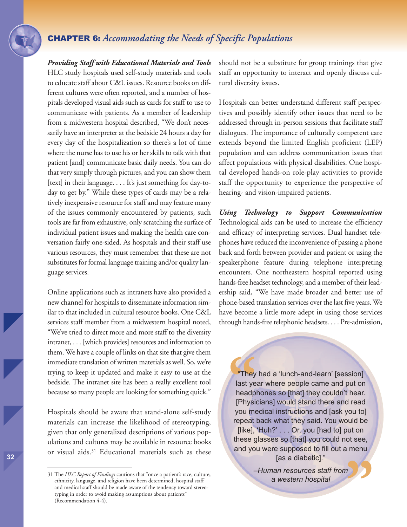*Providing Staff with Educational Materials and Tools* HLC study hospitals used self-study materials and tools to educate staff about C&L issues. Resource books on different cultures were often reported, and a number of hospitals developed visual aids such as cards for staff to use to communicate with patients. As a member of leadership from a midwestern hospital described, "We don't necessarily have an interpreter at the bedside 24 hours a day for every day of the hospitalization so there's a lot of time where the nurse has to use his or her skills to talk with that patient [and] communicate basic daily needs. You can do that very simply through pictures, and you can show them [text] in their language. . . . It's just something for day-today to get by." While these types of cards may be a relatively inexpensive resource for staff and may feature many of the issues commonly encountered by patients, such tools are far from exhaustive, only scratching the surface of individual patient issues and making the health care conversation fairly one-sided. As hospitals and their staff use various resources, they must remember that these are not substitutes for formal language training and/or quality language services.

Online applications such as intranets have also provided a new channel for hospitals to disseminate information similar to that included in cultural resource books. One C&L services staff member from a midwestern hospital noted, "We've tried to direct more and more staff to the diversity intranet, . . . [which provides] resources and information to them. We have a couple of links on that site that give them immediate translation of written materials as well. So, we're trying to keep it updated and make it easy to use at the bedside. The intranet site has been a really excellent tool because so many people are looking for something quick."

Hospitals should be aware that stand-alone self-study materials can increase the likelihood of stereotyping, given that only generalized descriptions of various populations and cultures may be available in resource books or visual aids.31 Educational materials such as these should not be a substitute for group trainings that give staff an opportunity to interact and openly discuss cultural diversity issues.

Hospitals can better understand different staff perspectives and possibly identify other issues that need to be addressed through in-person sessions that facilitate staff dialogues. The importance of culturally competent care extends beyond the limited English proficient (LEP) population and can address communication issues that affect populations with physical disabilities. One hospital developed hands-on role-play activities to provide staff the opportunity to experience the perspective of hearing- and vision-impaired patients.

*Using Technology to Support Communication* Technological aids can be used to increase the efficiency and efficacy of interpreting services. Dual handset telephones have reduced the inconvenience of passing a phone back and forth between provider and patient or using the speakerphone feature during telephone interpreting encounters. One northeastern hospital reported using hands-free headset technology, and a member of their leadership said, "We have made broader and better use of phone-based translation services over thelast five years. We have become a little more adept in using those services through hands-free telephonic headsets. . . . Pre-admission,

"They had a 'lunch-and-learn' [session]<br>last year where people came and put on<br>headphones so [that] they couldn't hear.<br>[Physicians] would stand there and read<br>you medical instructions and [ask you to] **"** "They had a 'lunch-and-learn' [session] last year where people came and put on headphones so [that] they couldn't hear. [Physicians] would stand there and read repeat back what they said. You would be [like], 'Huh?' . . . Or, you [had to] put on these glasses so [that] you could not see, and you were supposed to fill out a menu [as a diabetic]."

*–Human resources staff from a western hospital*

<sup>31</sup> The *HLC Report of Findings* cautions that "once a patient's race, culture, ethnicity, language, and religion have been determined, hospital staff and medical staff should be made aware of the tendency toward stereotyping in order to avoid making assumptions about patients" (Recommendation 4-4).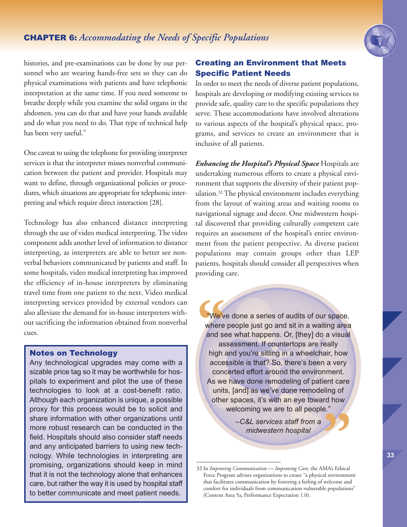

histories, and pre-examinations can be done by our personnel who are wearing hands-free sets so they can do physical examinations with patients and have telephonic interpretation at the same time. If you need someone to breathe deeply while you examine the solid organs in the abdomen, you can do that and have your hands available and do what you need to do. That type of technical help has been very useful."

One caveat to using the telephone for providing interpreter services is that the interpreter misses nonverbal communication between the patient and provider. Hospitals may want to define, through organizational policies or procedures, which situations are appropriate for telephonic interpreting and which require direct interaction [28].

Technology has also enhanced distance interpreting through the use of video medical interpreting. The video component adds another level of information to distance interpreting, as interpreters are able to better see nonverbal behaviors communicated by patients and staff. In some hospitals, video medical interpreting has improved the efficiency of in-house interpreters by eliminating travel time from one patient to the next. Video medical interpreting services provided by external vendors can also alleviate the demand for in-house interpreters without sacrificing the information obtained from nonverbal cues.

### Notes on Technology

Any technological upgrades may come with a sizable price tag so it may be worthwhile for hospitals to experiment and pilot the use of these technologies to look at a cost-benefit ratio. Although each organization is unique, a possible proxy for this process would be to solicit and share information with other organizations until more robust research can be conducted in the field. Hospitals should also consider staff needs and any anticipated barriers to using new technology. While technologies in interpreting are promising, organizations should keep in mind that it is not the technology alone that enhances care, but rather the way it is used by hospital staff to better communicate and meet patient needs.

## Creating an Environment that Meets Specific Patient Needs

In order to meet the needs of diverse patient populations, hospitals are developing or modifying existing services to provide safe, quality care to the specific populations they serve. These accommodations have involved alterations to various aspects of the hospital's physical space, programs, and services to create an environment that is inclusive of all patients.

*Enhancing the Hospital's Physical Space* Hospitals are undertaking numerous efforts to create a physical environment that supports the diversity of their patient population. <sup>32</sup> The physical environment includes everything from the layout of waiting areas and waiting rooms to navigational signage and decor. One midwestern hospital discovered that providing culturally competent care requires an assessment of the hospital's entire environment from the patient perspective. As diverse patient populations may contain groups other than LEP patients, hospitals should consider all perspectives when providing care.

We'v<br>
where<br>
and se<br>
as<br>
high a We've done a series of audits of our space, where people just go and sit in a waiting area and see what happens. Or, [they] do a visual assessment. If countertops are really high and you're sitting in a wheelchair, how accessible is that? So, there's been a very concerted effort around the environment. As we have done remodeling of patient care units, [and] as we've done remodeling of other spaces, it's with an eye toward how welcoming we are to all people."

*–C&L services staff from a midwestern hospital* 32 In *Improving Communication — Development — C&L services staff from a*<br>
32 In *Improving Communication* — *Improving Care*, the AMA's Ethical

Force Program advises organizations to create "a physical environment that facilitates communication by fostering a feeling of welcome and comfort for individuals from communication-vulnerable populations" (Content Area 5a, Performance Expectation 1.0).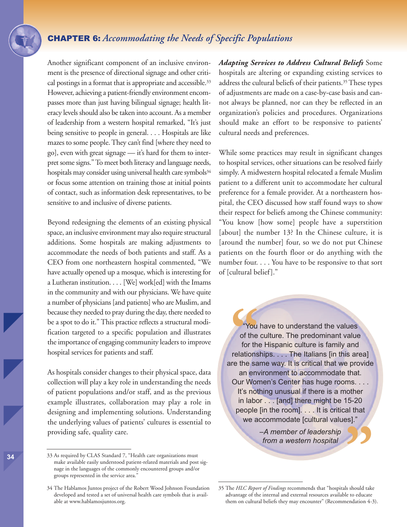Another significant component of an inclusive environment is the presence of directional signage and other critical postings in a format that is appropriate and accessible.<sup>33</sup> However, achieving a patient-friendly environment encompasses more than just having bilingual signage; health literacy levels should also be taken into account. As a member of leadership from a western hospital remarked, "It's just being sensitive to people in general. . . . Hospitals are like mazes to some people. They can't find [where they need to go], even with great signage — it's hard for them to interpret some signs." To meet both literacy and language needs, hospitals may consider using universal health care symbols<sup>34</sup> or focus some attention on training those at initial points of contact, such as information desk representatives, to be sensitive to and inclusive of diverse patients.

Beyond redesigning the elements of an existing physical space, an inclusive environment may also require structural additions. Some hospitals are making adjustments to accommodate the needs of both patients and staff. As a CEO from one northeastern hospital commented, "We have actually opened up a mosque, which is interesting for a Lutheran institution. . . . [We] work[ed] with the Imams in the community and with our physicians. We have quite a number of physicians [and patients] who are Muslim, and because they needed to pray during the day, there needed to be a spot to do it."This practice reflects a structural modification targeted to a specific population and illustrates the importance of engaging community leaders to improve hospital services for patients and staff.

As hospitals consider changes to their physical space, data collection will play a key role in understanding the needs of patient populations and/or staff, and as the previous example illustrates, collaboration may play a role in designing and implementing solutions. Understanding the underlying values of patients' cultures is essential to providing safe, quality care.

**34** 33 As required by CLAS Standard 7, "Health care organizations must make available easily understood patient-related materials and post signage in the languages of the commonly encountered groups and/or groups represented in the service area."

*Adapting Services to Address Cultural Beliefs* Some hospitals are altering or expanding existing services to address the cultural beliefs of their patients. 35These types of adjustments are made on a case-by-case basis and cannot always be planned, nor can they be reflected in an organization's policies and procedures. Organizations should make an effort to be responsive to patients' cultural needs and preferences.

While some practices may result in significant changes to hospital services, other situations can be resolved fairly simply. A midwestern hospital relocated a female Muslim patient to a different unit to accommodate her cultural preference for a female provider. At a northeastern hospital, the CEO discussed how staff found ways to show their respect for beliefs among the Chinese community: "You know [how some] people have a superstition [about] the number 13? In the Chinese culture, it is [around the number] four, so we do not put Chinese patients on the fourth floor or do anything with the number four. . . . You have to be responsive to that sort of [cultural belief]."

"You have to understand the values<br>
of the culture. The predominant value<br>
for the Hispanic culture is family and<br>
relationships.... The Italians [in this area]<br>
are the same way. It is critical that we provide "You have to understand the values of the culture. The predominant value for the Hispanic culture is family and relationships. . . . The Italians [in this area] an environment to accommodate that. Our Women's Center has huge rooms. . . . It's nothing unusual if there is a mother in labor . . . [and] there might be 15-20 people [in the room]. . . . It is critical that we accommodate [cultural values]."

> *–A member of leadership from a western hospital*

**"**

<sup>34</sup> The Hablamos Juntos project of the Robert Wood Johnson Foundation developed and tested a set of universal health care symbols that is available at www.hablamosjuntos.org.

<sup>35</sup> The *HLC Report of Findings* recommends that "hospitals should take advantage of the internal and external resources available to educate them on cultural beliefs they may encounter" (Recommendation 4-3).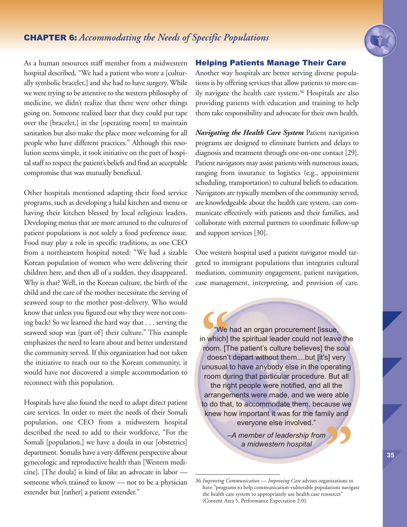

As a human resources staff member from a midwestern hospital described, "We had a patient who wore a [culturally symbolic bracelet,] and she had to have surgery. While we were trying to be attentive to the western philosophy of medicine, we didn't realize that there were other things going on. Someone realized later that they could put tape over the [bracelet,] in the [operating room] to maintain sanitation but also make the place more welcoming for all people who have different practices." Although this resolution seems simple, it took initiative on the part of hospital staff to respect the patient's beliefs and find an acceptable compromise that was mutually beneficial.

Other hospitals mentioned adapting their food service programs, such as developing a halal kitchen and menu or having their kitchen blessed by local religious leaders. Developing menus that are more attuned to the cultures of patient populations is not solely a food preference issue. Food may play a role in specific traditions, as one CEO from a northeastern hospital noted: "We had a sizable Korean population of women who were delivering their children here, and then all of a sudden, they disappeared. Why is that? Well, in the Korean culture, the birth of the child and the care of the mother necessitate the serving of seaweed soup to the mother post-delivery. Who would know that unless you figured out why they were not coming back? So we learned the hard way that . . . serving the seaweed soup was [part of] their culture." This example emphasizes the need to learn about and better understand the community served. If this organization had not taken the initiative to reach out to the Korean community, it would have not discovered a simple accommodation to reconnect with this population.

Hospitals have also found the need to adapt direct patient care services. In order to meet the needs of their Somali population, one CEO from a midwestern hospital described the need to add to their workforce, "For the Somali [population,] we have a doula in our [obstetrics] department. Somalis have a very different perspective about gynecologic and reproductive health than [Western medicine]. [The doula] is kind of like an advocate in labor someone who's trained to know — not to be a physician extender but [rather] a patient extender."

### Helping Patients Manage Their Care

Another way hospitals are better serving diverse populations is by offering services that allow patients to more easily navigate the health care system. <sup>36</sup> Hospitals are also providing patients with education and training to help them take responsibility and advocate for their own health.

*Navigating the Health Care System* Patient navigation programs are designed to eliminate barriers and delays to diagnosis and treatment through one-on-one contact [29]. Patient navigators may assist patients with numerous issues, ranging from insurance to logistics (e.g., appointment scheduling, transportation) to cultural beliefs to education. Navigators are typically members of the community served, are knowledgeable about the health care system, can communicate effectively with patients and their families, and collaborate with external partners to coordinate follow-up and support services [30].

One western hospital used a patient navigator model targeted to immigrant populations that integrates cultural mediation, community engagement, patient navigation, case management, interpreting, and provision of care.

we<br>
m which]<br>
room. [T<br>
doesn't<br>
unusual "We had an organ procurement [issue, in which] the spiritual leader could not leave the room. [The patient's culture believes] the soul doesn't depart without them....but [it's] very unusual to have anybody else in the operating room during that particular procedure. But all the right people were notified, and all the arrangements were made, and we were able to do that, to accommodate them, because we knew how important it was for the family and everyone else involved."

> *–A member of leadership from a midwestern hospital*

<sup>36</sup> *Improving Communication — Improving Care* advises organizations to have "programs to help communication-vulnerable populations navigate the health care system to appropriately use health care resources" (Content Area 5, Performance Expectation 2.0). **1999**<br>ganizations to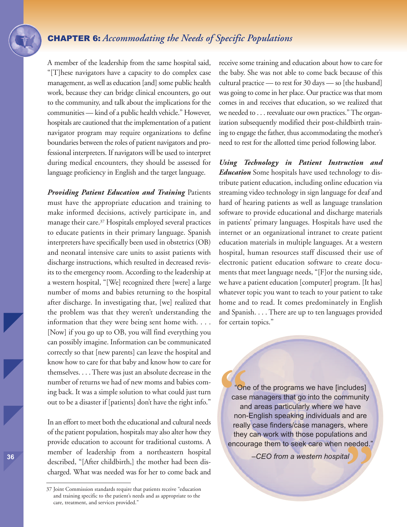A member of the leadership from the same hospital said, "[T]hese navigators have a capacity to do complex case management, as well as education [and] some public health work, because they can bridge clinical encounters, go out to the community, and talk about the implications for the communities — kind of a public health vehicle." However, hospitals are cautioned that the implementation of a patient navigator program may require organizations to define boundaries between the roles of patient navigators and professional interpreters. If navigators will be used to interpret during medical encounters, they should be assessed for language proficiency in English and the target language.

*Providing Patient Education and Training* Patients must have the appropriate education and training to make informed decisions, actively participate in, and manage their care. <sup>37</sup> Hospitals employed several practices to educate patients in their primary language. Spanish interpreters have specifically been used in obstetrics (OB) and neonatal intensive care units to assist patients with discharge instructions, which resulted in decreased revisits to the emergency room. According to the leadership at a western hospital, "[We] recognized there [were] a large number of moms and babies returning to the hospital after discharge. In investigating that, [we] realized that the problem was that they weren't understanding the information that they were being sent home with. . . . [Now] if you go up to OB, you will find everything you can possibly imagine. Information can be communicated correctly so that [new parents] can leave the hospital and know how to care for that baby and know how to care for themselves. . . .There was just an absolute decrease in the number of returns we had of new moms and babies coming back. It was a simple solution to what could just turn out to be a disaster if [patients] don't have the right info."

In an effort to meet both the educational and cultural needs of the patient population, hospitals may also alter how they provide education to account for traditional customs. A member of leadership from a northeastern hospital described, "[After childbirth,] the mother had been discharged. What was needed was for her to come back and receive some training and education about how to care for the baby. She was not able to come back because of this cultural practice — to rest for 30 days — so [the husband] was going to come in her place. Our practice was that mom comes in and receives that education, so we realized that we needed to . . . reevaluate our own practices."The organization subsequently modified their post-childbirth training to engage the father, thus accommodating the mother's need to rest for the allotted time period following labor.

*Using Technology in Patient Instruction and Education* Some hospitals have used technology to distribute patient education, including online education via streaming video technology in sign language for deaf and hard of hearing patients as well as language translation software to provide educational and discharge materials in patients' primary languages. Hospitals have used the internet or an organizational intranet to create patient education materials in multiple languages. At a western hospital, human resources staff discussed their use of electronic patient education software to create documents that meet language needs, "[F]or the nursing side, we have a patient education [computer] program. [It has] whatever topic you want to teach to your patient to take home and to read. It comes predominately in English and Spanish. . . . There are up to ten languages provided for certain topics."

**C**<br>
case<br>
an<br>
non-<br>
really **"** "One of the programs we have [includes] case managers that go into the community and areas particularly where we have non-English speaking individuals and are really case finders/case managers, where they can work with those populations and encourage them to seek care when needed."

*–CEO from a western hospital*

<sup>37</sup> Joint Commission standards require that patients receive "education and training specific to the patient's needs and as appropriate to the care, treatment, and services provided."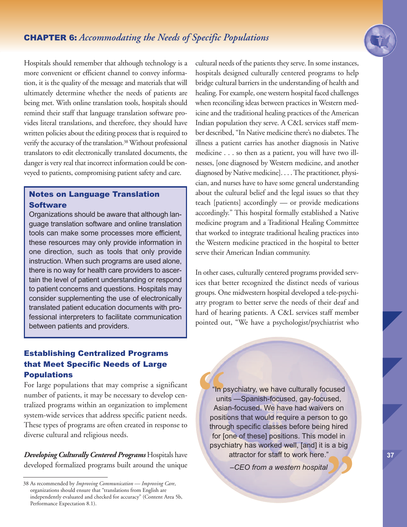

Hospitals should remember that although technology is a more convenient or efficient channel to convey information, it is the quality of the message and materials that will ultimately determine whether the needs of patients are being met. With online translation tools, hospitals should remind their staff that language translation software provides literal translations, and therefore, they should have written policies about the editing process that is required to verify the accuracy of the translation.<sup>38</sup> Without professional translators to edit electronically translated documents, the danger is very real that incorrect information could be conveyed to patients, compromising patient safety and care.

## Notes on Language Translation **Software**

Organizations should be aware that although language translation software and online translation tools can make some processes more efficient, these resources may only provide information in one direction, such as tools that only provide instruction. When such programs are used alone, there is no way for health care providers to ascertain the level of patient understanding or respond to patient concerns and questions. Hospitals may consider supplementing the use of electronically translated patient education documents with professional interpreters to facilitate communication between patients and providers.

cultural needs of the patients they serve. In some instances, hospitals designed culturally centered programs to help bridge cultural barriers in the understanding of health and healing. For example, one western hospital faced challenges when reconciling ideas between practices in Western medicine and the traditional healing practices of the American Indian population they serve. A C&L services staff member described, "In Native medicine there's no diabetes. The illness a patient carries has another diagnosis in Native medicine . . . so then as a patient, you will have two illnesses, [one diagnosed by Western medicine, and another diagnosed by Native medicine]. . . .The practitioner, physician, and nurses have to have some general understanding about the cultural belief and the legal issues so that they teach [patients] accordingly — or provide medications accordingly." This hospital formally established a Native medicine program and a Traditional Healing Committee that worked to integrate traditional healing practices into the Western medicine practiced in the hospital to better serve their American Indian community.

In other cases, culturally centered programs provided services that better recognized the distinct needs of various groups. One midwestern hospital developed a tele-psychiatry program to better serve the needs of their deaf and hard of hearing patients. A C&L services staff member pointed out, "We have a psychologist/psychiatrist who

## Establishing Centralized Programs that Meet Specific Needs of Large Populations

For large populations that may comprise a significant number of patients, it may be necessary to develop centralized programs within an organization to implement system-wide services that address specific patient needs. These types of programs are often created in response to diverse cultural and religious needs.

*Developing Culturally Centered Programs* Hospitals have developed formalized programs built around the unique **C**<br> **"**<br> **In p**<br> **INSIE**<br> **POSITE**<br> **INTOL "** "In psychiatry, we have culturally focused units —Spanish-focused, gay-focused, Asian-focused. We have had waivers on positions that would require a person to go through specific classes before being hired for [one of these] positions. This model in psychiatry has worked well, [and] it is a big attractor for staff to work here."

*–CEO from a western hospital*

<sup>38</sup> As recommended by *Improving Communication — Improving Care*, organizations should ensure that "translations from English are independently evaluated and checked for accuracy" (Content Area 5b, Performance Expectation 8.1).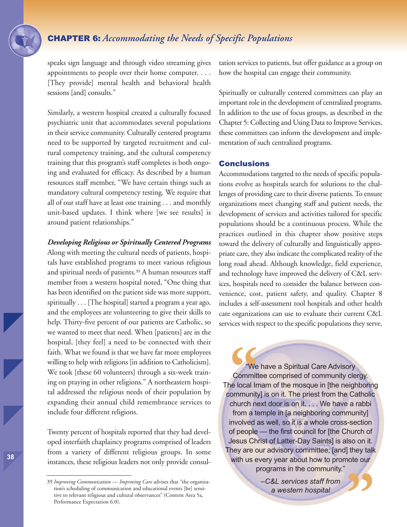speaks sign language and through video streaming gives appointments to people over their home computer. . . . [They provide] mental health and behavioral health sessions [and] consults."

Similarly, a western hospital created a culturally focused psychiatric unit that accommodates several populations in their service community. Culturally centered programs need to be supported by targeted recruitment and cultural competency training, and the cultural competency training that this program's staff completes is both ongoing and evaluated for efficacy. As described by a human resources staff member, "We have certain things such as mandatory cultural competency testing. We require that all of our staff have at least one training . . . and monthly unit-based updates. I think where [we see results] is around patient relationships."

#### *Developing Religious or Spiritually Centered Programs*

Along with meeting the cultural needs of patients, hospitals have established programs to meet various religious and spiritual needs of patients. <sup>39</sup> A human resources staff member from a western hospital noted, "One thing that has been identified on the patient side was more support, spiritually . . . [The hospital] started a program a year ago, and the employees are volunteering to give their skills to help. Thirty-five percent of our patients are Catholic, so we wanted to meet that need. When [patients] are in the hospital, [they feel] a need to be connected with their faith. What we found is that we have far more employees willing to help with religions [in addition to Catholicism]. We took [these 60 volunteers] through a six-week training on praying in other religions." A northeastern hospital addressed the religious needs of their population by expanding their annual child remembrance services to include four different religions.

Twenty percent of hospitals reported that they had developed interfaith chaplaincy programs comprised of leaders from a variety of different religious groups. In some instances, these religious leaders not only provide consultation services to patients, but offer guidance as a group on how the hospital can engage their community.

Spiritually or culturally centered committees can play an important role in the development of centralized programs. In addition to the use of focus groups, as described in the Chapter 5: Collecting and Using Data to Improve Services, these committees can inform the development and implementation of such centralized programs.

#### Conclusions

Accommodations targeted to the needs of specific populations evolve as hospitals search for solutions to the challenges of providing care to their diverse patients. To ensure organizations meet changing staff and patient needs, the development of services and activities tailored for specific populations should be a continuous process. While the practices outlined in this chapter show positive steps toward the delivery of culturally and linguistically appropriate care, they also indicate the complicated reality of the long road ahead. Although knowledge, field experience, and technology have improved the delivery of C&L services, hospitals need to consider the balance between convenience, cost, patient safety, and quality. Chapter 8 includes a self-assessment tool hospitals and other health care organizations can use to evaluate their current C&L services with respect to the specific populations they serve.

**Committ**<br> **Committer**<br> **Community**<br> **Community**<br> **Community** "We have a Spiritual Care Advisory Committee comprised of community clergy. The local Imam of the mosque in [the neighboring community] is on it. The priest from the Catholic church next door is on it. . . . We have a rabbi from a temple in [a neighboring community] involved as well, so it is a whole cross-section of people — the first council for [the Church of Jesus Christ of Latter-Day Saints] is also on it. They are our advisory committee; [and] they talk with us every year about how to promote our programs in the community."

> *–C&L services staff from a western hospital*

**"**

<sup>39</sup> *Improving Communication — Improving Care* advises that "the organization's scheduling of communication and educational events [be] sensitive to relevant religious and cultural observances" (Content Area 5a, Performance Expectation 6.0).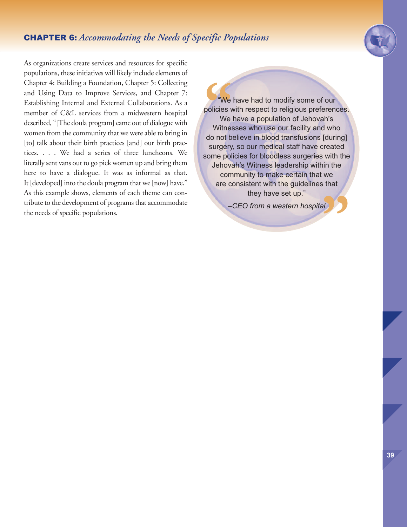

As organizations create services and resources for specific populations, these initiatives will likely include elements of Chapter 4: Building a Foundation, Chapter 5: Collecting and Using Data to Improve Services, and Chapter 7: Establishing Internal and External Collaborations. As a member of C&L services from a midwestern hospital described, "[The doula program] came out of dialogue with women from the community that we were able to bring in [to] talk about their birth practices [and] our birth practices. . . . We had a series of three luncheons. We literally sent vans out to go pick women up and bring them here to have a dialogue. It was as informal as that. It [developed] into the doula program that we [now] have." As this example shows, elements of each theme can contribute to the development of programs that accommodate the needs of specific populations.

we<br>
we<br>
we<br>
Witnes<br>
do not b al) S "We have had to modify some of our policies with respect to religious preferences. We have a population of Jehovah's Witnesses who use our facility and who do not believe in blood transfusions [during] surgery, so our medical staff have created some policies for bloodless surgeries with the Jehovah's Witness leadership within the community to make certain that we are consistent with the guidelines that they have set up."

*–CEO from a western hospital*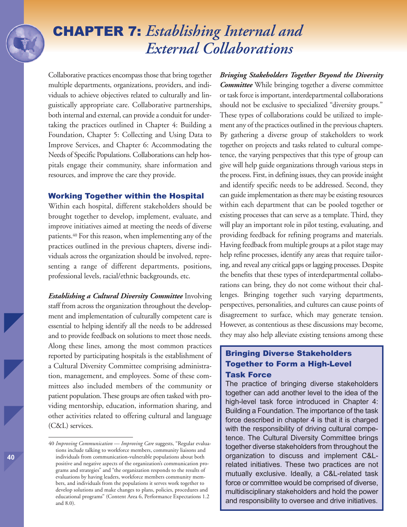## CHAPTER 7: *Establishing Internal and External Collaborations*

Collaborative practices encompass those that bring together multiple departments, organizations, providers, and individuals to achieve objectives related to culturally and linguistically appropriate care. Collaborative partnerships, both internal and external, can provide a conduit for undertaking the practices outlined in Chapter 4: Building a Foundation, Chapter 5: Collecting and Using Data to Improve Services, and Chapter 6: Accommodating the Needs of Specific Populations.Collaborations can help hospitals engage their community, share information and resources, and improve the care they provide.

#### Working Together within the Hospital

Within each hospital, different stakeholders should be brought together to develop, implement, evaluate, and improve initiatives aimed at meeting the needs of diverse patients. <sup>40</sup> For this reason, when implementing any of the practices outlined in the previous chapters, diverse individuals across the organization should be involved, representing a range of different departments, positions, professional levels, racial/ethnic backgrounds, etc.

*Establishing a Cultural Diversity Committee* Involving staff from across the organization throughout the development and implementation of culturally competent care is essential to helping identify all the needs to be addressed and to provide feedback on solutions to meet those needs. Along these lines, among the most common practices reported by participating hospitals is the establishment of a Cultural Diversity Committee comprising administration, management, and employees. Some of these committees also included members of the community or patient population.These groups are often tasked with providing mentorship, education, information sharing, and other activities related to offering cultural and language (C&L) services.

*Bringing Stakeholders Together Beyond the Diversity Committee* While bringing together a diverse committee or task force is important, interdepartmental collaborations should not be exclusive to specialized "diversity groups." These types of collaborations could be utilized to implement any of the practices outlined in the previous chapters. By gathering a diverse group of stakeholders to work together on projects and tasks related to cultural competence, the varying perspectives that this type of group can give will help guide organizations through various steps in the process. First, in defining issues, they can provide insight and identify specific needs to be addressed. Second, they can guide implementation as there may be existing resources within each department that can be pooled together or existing processes that can serve as a template. Third, they will play an important role in pilot testing, evaluating, and providing feedback for refining programs and materials. Having feedback from multiple groups at a pilot stage may help refine processes, identify any areas that require tailoring, and reveal any critical gaps or lagging processes. Despite the benefits that these types of interdepartmental collaborations can bring, they do not come without their challenges. Bringing together such varying departments, perspectives, personalities, and cultures can cause points of disagreement to surface, which may generate tension. However, as contentious as these discussions may become, they may also help alleviate existing tensions among these

## Bringing Diverse Stakeholders Together to Form a High-Level Task Force

The practice of bringing diverse stakeholders together can add another level to the idea of the high-level task force introduced in Chapter 4: Building a Foundation. The importance of the task force described in chapter 4 is that it is charged with the responsibility of driving cultural competence. The Cultural Diversity Committee brings together diverse stakeholders from throughout the organization to discuss and implement C&Lrelated initiatives. These two practices are not mutually exclusive. Ideally, a C&L-related task force or committee would be comprised of diverse, multidisciplinary stakeholders and hold the power and responsibility to oversee and drive initiatives.

<sup>40</sup> *Improving Communication — Improving Care* suggests, "Regular evaluations include talking to workforce members, community liaisons and individuals from communication-vulnerable populations about both positive and negative aspects of the organization's communication programs and strategies" and "the organization responds to the results of evaluations by having leaders, workforce members community members, and individuals from the populations it serves work together to develop solutions and make changes to plans, policies, procedures and educational programs" (Content Area 6, Performance Expectations 1.2 and 8.0).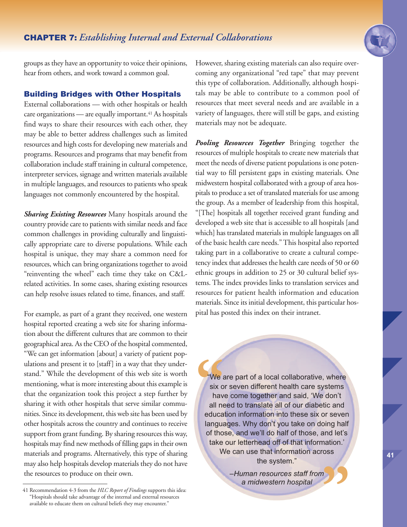

groups as they have an opportunity to voice their opinions, hear from others, and work toward a common goal.

#### Building Bridges with Other Hospitals

External collaborations — with other hospitals or health care organizations — are equally important.<sup>41</sup> As hospitals find ways to share their resources with each other, they may be able to better address challenges such as limited resources and high costs for developing new materials and programs. Resources and programs that may benefit from collaboration include staff training in cultural competence, interpreter services, signage and written materials available in multiple languages, and resources to patients who speak languages not commonly encountered by the hospital.

*Sharing Existing Resources* Many hospitals around the country provide care to patients with similar needs and face common challenges in providing culturally and linguistically appropriate care to diverse populations. While each hospital is unique, they may share a common need for resources, which can bring organizations together to avoid "reinventing the wheel" each time they take on C&Lrelated activities. In some cases, sharing existing resources can help resolve issues related to time, finances, and staff.

For example, as part of a grant they received, one western hospital reported creating a web site for sharing information about the different cultures that are common to their geographical area. As the CEO of the hospital commented, "We can get information [about] a variety of patient populations and present it to [staff] in a way that they understand." While the development of this web site is worth mentioning, what is more interesting about this example is that the organization took this project a step further by sharing it with other hospitals that serve similar communities. Since its development, this web site has been used by other hospitals across the country and continues to receive support from grant funding. By sharing resources this way, hospitals may find new methods of filling gaps in their own materials and programs. Alternatively, this type of sharing may also help hospitals develop materials they do not have the resources to produce on their own.

41 Recommendation 4-3 from the *HLC Report of Findings* supports this idea: "Hospitals should take advantage of the internal and external resources available to educate them on cultural beliefs they may encounter."

However, sharing existing materials can also require overcoming any organizational "red tape" that may prevent this type of collaboration. Additionally, although hospitals may be able to contribute to a common pool of resources that meet several needs and are available in a variety of languages, there will still be gaps, and existing materials may not be adequate.

*Pooling Resources Together* Bringing together the resources of multiple hospitals to create new materials that meet the needs of diverse patient populations is one potential way to fill persistent gaps in existing materials. One midwestern hospital collaborated with a group of area hospitals to produce a set of translated materials for use among the group. As a member of leadership from this hospital, "[The] hospitals all together received grant funding and developed a web site that is accessible to all hospitals [and which] has translated materials in multiple languages on all of the basic health care needs."This hospital also reported taking part in a collaborative to create a cultural competency index that addresses the health care needs of 50 or 60 ethnic groups in addition to 25 or 30 cultural belief systems. The index provides links to translation services and resources for patient health information and education materials. Since its initial development, this particular hospital has posted this index on their intranet.

e we a<br>six o<br>hav<br>all ne<br>educa "We are part of a local collaborative, where six or seven different health care systems have come together and said, 'We don't all need to translate all of our diabetic and education information into these six or seven languages. Why don't you take on doing half of those, and we'll do half of those, and let's take our letterhead off of that information.' We can use that information across the system."

**"** *–Human resources staff from a midwestern hospital*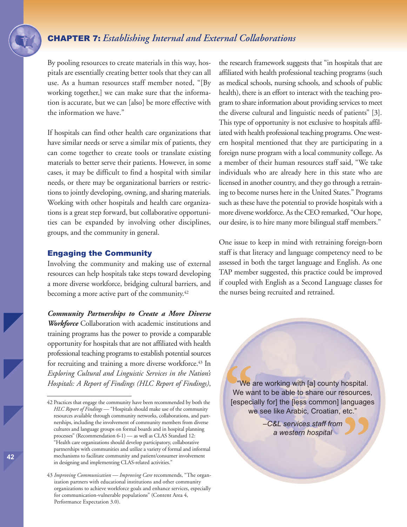## CHAPTER 7: *Establishing Internal and External Collaborations*

By pooling resources to create materials in this way, hospitals are essentially creating better tools that they can all use. As a human resources staff member noted, "[By working together,] we can make sure that the information is accurate, but we can [also] be more effective with the information we have."

If hospitals can find other health care organizations that have similar needs or serve a similar mix of patients, they can come together to create tools or translate existing materials to better serve their patients. However, in some cases, it may be difficult to find a hospital with similar needs, or there may be organizational barriers or restrictions to jointly developing, owning, and sharing materials. Working with other hospitals and health care organizations is a great step forward, but collaborative opportunities can be expanded by involving other disciplines, groups, and the community in general.

#### Engaging the Community

Involving the community and making use of external resources can help hospitals take steps toward developing a more diverse workforce, bridging cultural barriers, and becoming a more active part of the community. 42

*Community Partnerships to Create a More Diverse Workforce* Collaboration with academic institutions and training programs has the power to provide a comparable opportunity for hospitals that are not affiliated with health professional teaching programs to establish potential sources for recruiting and training a more diverse workforce. <sup>43</sup> In *Exploring Cultural and Linguistic Services in the Nation's Hospitals: A Report of Findings (HLC Report of Findings)*,

the research framework suggests that "in hospitals that are affiliated with health professional teaching programs (such as medical schools, nursing schools, and schools of public health), there is an effort to interact with the teaching program to share information about providing services to meet the diverse cultural and linguistic needs of patients" [3]. This type of opportunity is not exclusive to hospitals affiliated with health professional teaching programs. One western hospital mentioned that they are participating in a foreign nurse program with a local community college. As a member of their human resources staff said, "We take individuals who are already here in this state who are licensed in another country, and they go through a retraining to become nurses here in the United States." Programs such as these have the potential to provide hospitals with a more diverse workforce. As the CEO remarked, "Our hope, our desire, is to hire many more bilingual staff members."

One issue to keep in mind with retraining foreign-born staff is that literacy and language competency need to be assessed in both the target language and English. As one TAP member suggested, this practice could be improved if coupled with English as a Second Language classes for the nurses being recruited and retrained.

**"** "We are working with [a] county hospital. We want to be able to share our resources, [especially for] the [less common] languages we see like Arabic, Croatian, etc."

**"** *–C&L services staff from a western hospital*

<sup>42</sup> Practices that engage the community have been recommended by both the *HLC Report of Findings* — "Hospitals should make use of the community resources available through community networks, collaborations, and partnerships, including the involvement of community members from diverse cultures and language groups on formal boards and in hospital planning processes" (Recommendation 6-1) — as well as CLAS Standard 12: "Health care organizations should develop participatory, collaborative partnerships with communities and utilize a variety of formal and informal mechanisms to facilitate community and patient/consumer involvement in designing and implementing CLAS-related activities."

<sup>43</sup> *Improving Communication — Improving Care* recommends, "The organization partners with educational institutions and other community organizations to achieve workforce goals and enhance services, especially for communication-vulnerable populations" (Content Area 4, Performance Expectation 3.0).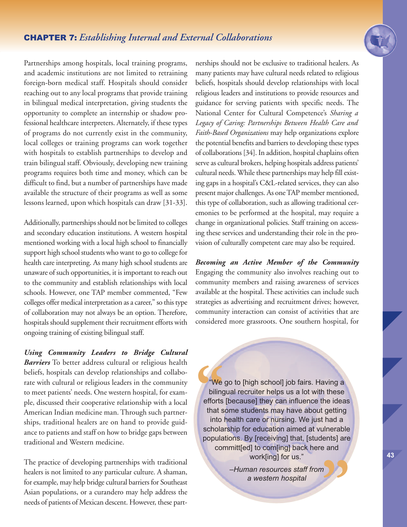

Partnerships among hospitals, local training programs, and academic institutions are not limited to retraining foreign-born medical staff. Hospitals should consider reaching out to any local programs that provide training in bilingual medical interpretation, giving students the opportunity to complete an internship or shadow professional healthcare interpreters. Alternately, if these types of programs do not currently exist in the community, local colleges or training programs can work together with hospitals to establish partnerships to develop and train bilingual staff. Obviously, developing new training programs requires both time and money, which can be difficult to find, but a number of partnerships have made available the structure of their programs as well as some lessons learned, upon which hospitals can draw [31-33].

Additionally, partnerships should not be limited to colleges and secondary education institutions. A western hospital mentioned working with a local high school to financially support high school students who want to go to college for health care interpreting. As many high school students are unaware of such opportunities, it is important to reach out to the community and establish relationships with local schools. However, one TAP member commented, "Few colleges offer medical interpretation as a career," so this type of collaboration may not always be an option. Therefore, hospitals should supplement their recruitment efforts with ongoing training of existing bilingual staff.

*Using Community Leaders to Bridge Cultural Barriers* To better address cultural or religious health beliefs, hospitals can develop relationships and collaborate with cultural or religious leaders in the community to meet patients' needs. One western hospital, for example, discussed their cooperative relationship with a local American Indian medicine man. Through such partnerships, traditional healers are on hand to provide guidance to patients and staff on how to bridge gaps between traditional and Western medicine.

The practice of developing partnerships with traditional healers is not limited to any particular culture. A shaman, for example, may help bridge cultural barriers for Southeast Asian populations, or a curandero may help address the needs of patients of Mexican descent. However, these partnerships should not be exclusive to traditional healers. As many patients may have cultural needs related to religious beliefs, hospitals should develop relationships with local religious leaders and institutions to provide resources and guidance for serving patients with specific needs. The National Center for Cultural Competence's *Sharing a Legacy of Caring: Partnerships Between Health Care and Faith-Based Organizations* may help organizations explore the potential benefits and barriers to developing these types of collaborations [34]. In addition, hospital chaplains often serve as cultural brokers, helping hospitals address patients' cultural needs. While these partnerships may help fill existing gaps in a hospital's C&L-related services, they can also present major challenges. As oneTAP member mentioned, this type of collaboration, such as allowing traditional ceremonies to be performed at the hospital, may require a change in organizational policies. Staff training on accessing these services and understanding their role in the provision of culturally competent care may also be required.

*Becoming an Active Member of the Community* Engaging the community also involves reaching out to community members and raising awareness of services available at the hospital. These activities can include such strategies as advertising and recruitment drives; however, community interaction can consist of activities that are considered more grassroots. One southern hospital, for

We<br>biling<br>efforts<br>that s<br>into "We go to [high school] job fairs. Having a bilingual recruiter helps us a lot with these efforts [because] they can influence the ideas that some students may have about getting into health care or nursing. We just had a scholarship for education aimed at vulnerable populations. By [receiving] that, [students] are committ[ed] to com[ing] back here and work[ing] for us." **"**

*–Human resources staff from a western hospital*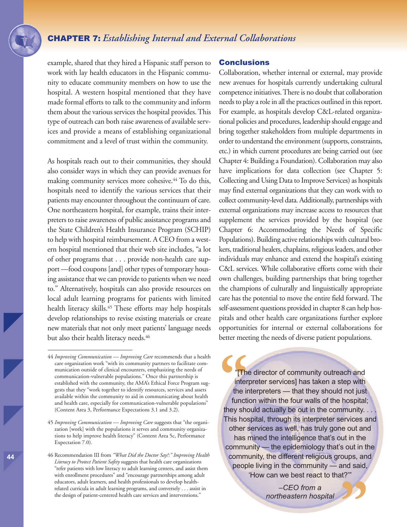## CHAPTER 7: *Establishing Internal and External Collaborations*

example, shared that they hired a Hispanic staff person to work with lay health educators in the Hispanic community to educate community members on how to use the hospital. A western hospital mentioned that they have made formal efforts to talk to the community and inform them about the various services the hospital provides.This type of outreach can both raise awareness of available services and provide a means of establishing organizational commitment and a level of trust within the community.

As hospitals reach out to their communities, they should also consider ways in which they can provide avenues for making community services more cohesive. <sup>44</sup> To do this, hospitals need to identify the various services that their patients may encounter throughout the continuum of care. One northeastern hospital, for example, trains their interpreters to raise awareness of public assistance programs and the State Children's Health Insurance Program (SCHIP) to help with hospital reimbursement. A CEO from a western hospital mentioned that their web site includes, "a lot of other programs that . . . provide non-health care support —food coupons [and] other types of temporary housing assistance that we can provide to patients when we need to." Alternatively, hospitals can also provide resources on local adult learning programs for patients with limited health literacy skills. <sup>45</sup> These efforts may help hospitals develop relationships to revise existing materials or create new materials that not only meet patients' language needs but also their health literacy needs. 46

#### **Conclusions**

Collaboration, whether internal or external, may provide new avenues for hospitals currently undertaking cultural competence initiatives. There is no doubt that collaboration needs to play a role in all the practices outlined in this report. For example, as hospitals develop C&L-related organizational policies and procedures, leadership should engage and bring together stakeholders from multiple departments in order to understand the environment (supports, constraints, etc.) in which current procedures are being carried out (see Chapter 4: Building a Foundation). Collaboration may also have implications for data collection (see Chapter 5: Collecting and Using Data to Improve Services) as hospitals may find external organizations that they can work with to collect community-level data. Additionally, partnerships with external organizations may increase access to resources that supplement the services provided by the hospital (see Chapter 6: Accommodating the Needs of Specific Populations). Building active relationships with cultural brokers, traditional healers, chaplains, religious leaders, and other individuals may enhance and extend the hospital's existing C&L services. While collaborative efforts come with their own challenges, building partnerships that bring together the champions of culturally and linguistically appropriate care has the potential to move the entire field forward. The self-assessment questions provided in chapter 8 can help hospitals and other health care organizations further explore opportunities for internal or external collaborations for better meeting the needs of diverse patient populations.

The director of community outreach and<br>
interpreter services] has taken a step with<br>
the interpreters — that they should not just<br>
function within the four walls of the hospital;<br>
they should actually be out in the communi The director of community outreach and interpreter services] has taken a step with the interpreters — that they should not just function within the four walls of the hospital; This hospital, through its interpreter services and other services as well, has truly gone out and has mined the intelligence that's out in the community — the epidemiology that's out in the community, the different religious groups, and people living in the community — and said, 'How can we best react to that?'" **"**

*–CEO from a northeastern hospital*

<sup>44</sup> *Improving Communication — Improving Care* recommends that a health care organization work "with its community partners to facilitate communication outside of clinical encounters, emphasizing the needs of communication-vulnerable populations." Once this partnership is established with the community, the AMA's Ethical Force Program suggests that they "work together to identify resources, services and assets available within the community to aid in communicating about health and health care, especially for communication-vulnerable populations" (Content Area 3, Performance Expectations 3.1 and 3.2).

<sup>45</sup> *Improving Communication — Improving Care* suggests that "the organization [work] with the populations it serves and community organizations to help improve health literacy" (Content Area 5c, Performance Expectation 7.0).

<sup>46</sup> Recommendation III from *"What Did the Doctor Say?:" Improving Health Literacy to Protect Patient Safety* suggests that health care organizations "refer patients with low literacy to adult learning centers, and assist them with enrollment procedures" and "encourage partnerships among adult educators, adult learners, and health professionals to develop healthrelated curricula in adult learning programs, and conversely . . . assist in the design of patient-centered health care services and interventions."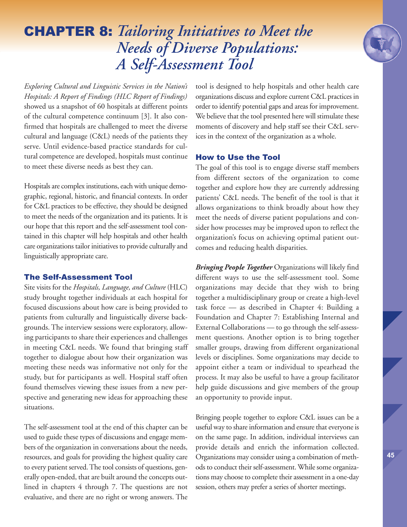*Exploring Cultural and Linguistic Services in the Nation's Hospitals: A Report of Findings (HLC Report of Findings)* showed us a snapshot of 60 hospitals at different points of the cultural competence continuum [3]. It also confirmed that hospitals are challenged to meet the diverse cultural and language (C&L) needs of the patients they serve. Until evidence-based practice standards for cultural competence are developed, hospitals must continue to meet these diverse needs as best they can.

Hospitals are complex institutions, each with unique demographic, regional, historic, and financial contexts. In order for C&L practices to be effective, they should be designed to meet the needs of the organization and its patients. It is our hope that this report and the self-assessment tool contained in this chapter will help hospitals and other health care organizations tailor initiatives to provide culturally and linguistically appropriate care.

#### The Self-Assessment Tool

Site visits for the *Hospitals, Language, and Culture* (HLC) study brought together individuals at each hospital for focused discussions about how care is being provided to patients from culturally and linguistically diverse backgrounds. The interview sessions were exploratory, allowing participants to share their experiences and challenges in meeting C&L needs. We found that bringing staff together to dialogue about how their organization was meeting these needs was informative not only for the study, but for participants as well. Hospital staff often found themselves viewing these issues from a new perspective and generating new ideas for approaching these situations.

The self-assessment tool at the end of this chapter can be used to guide these types of discussions and engage members of the organization in conversations about the needs, resources, and goals for providing the highest quality care to every patient served. The tool consists of questions, generally open-ended, that are built around the concepts outlined in chapters 4 through 7. The questions are not evaluative, and there are no right or wrong answers. The

tool is designed to help hospitals and other health care organizations discuss and explore current C&L practices in order to identify potential gaps and areas for improvement. We believe that the tool presented here will stimulate these moments of discovery and help staff see their C&L services in the context of the organization as a whole.

### How to Use the Tool

The goal of this tool is to engage diverse staff members from different sectors of the organization to come together and explore how they are currently addressing patients' C&L needs. The benefit of the tool is that it allows organizations to think broadly about how they meet the needs of diverse patient populations and consider how processes may be improved upon to reflect the organization's focus on achieving optimal patient outcomes and reducing health disparities.

*Bringing People Together* Organizations will likely find different ways to use the self-assessment tool. Some organizations may decide that they wish to bring together a multidisciplinary group or create a high-level task force — as described in Chapter 4: Building a Foundation and Chapter 7: Establishing Internal and External Collaborations — to go through the self-assessment questions. Another option is to bring together smaller groups, drawing from different organizational levels or disciplines. Some organizations may decide to appoint either a team or individual to spearhead the process. It may also be useful to have a group facilitator help guide discussions and give members of the group an opportunity to provide input.

Bringing people together to explore C&L issues can be a useful way to share information and ensure that everyone is on the same page. In addition, individual interviews can provide details and enrich the information collected. Organizations may consider using a combination of methods to conduct their self-assessment. While some organizations may choose to complete their assessment in a one-day session, others may prefer a series of shorter meetings.

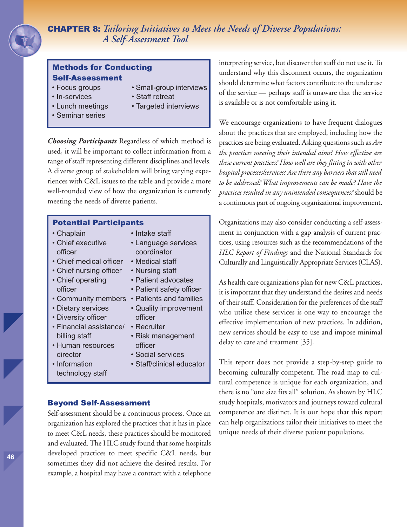## Methods for Conducting Self-Assessment

- Focus groups
- In-services
- Lunch meetings
- Seminar series
- Small-group interviews
- Staff retreat
- Targeted interviews

*Choosing Participants* Regardless of which method is used, it will be important to collect information from a range of staff representing different disciplines and levels. A diverse group of stakeholders will bring varying experiences with C&L issues to the table and provide a more well-rounded view of how the organization is currently meeting the needs of diverse patients.

#### Potential Participants

- Chaplain
- Chief executive officer
- Chief medical officer
- Chief nursing officer
- Chief operating officer
- 
- Dietary services
- Diversity officer
- Financial assistance/ Recruiter billing staff
- Human resources director
- Information technology staff
- Intake staff
- Language services coordinator
- Medical staff
- Nursing staff
- Patient advocates
- Patient safety officer
- Community members Patients and families
	- Quality improvement officer
	-
	- Risk management officer
	- Social services
	- Staff/clinical educator

### Beyond Self-Assessment

Self-assessment should be a continuous process. Once an organization has explored the practices that it has in place to meet C&L needs, these practices should be monitored and evaluated.The HLC study found that some hospitals developed practices to meet specific C&L needs, but sometimes they did not achieve the desired results. For example, a hospital may have a contract with a telephone interpreting service, but discover that staff do not use it. To understand why this disconnect occurs, the organization should determine what factors contribute to the underuse of the service — perhaps staff is unaware that the service is available or is not comfortable using it.

We encourage organizations to have frequent dialogues about the practices that are employed, including how the practices are being evaluated. Asking questions such as *Are the practices meeting their intended aims? How effective are these current practices? How well are they fittingin with other hospital processes/services? Are there any barriers that still need to be addressed? What improvements can be made? Have the practices resulted in any unintended consequences?* should be a continuous part of ongoing organizational improvement.

Organizations may also consider conducting a self-assessment in conjunction with a gap analysis of current practices, using resources such as the recommendations of the *HLC Report of Findings* and the National Standards for Culturally and Linguistically Appropriate Services (CLAS).

As health care organizations plan for new C&L practices, it is important that they understand the desires and needs of their staff. Consideration for the preferences of the staff who utilize these services is one way to encourage the effective implementation of new practices. In addition, new services should be easy to use and impose minimal delay to care and treatment [35].

This report does not provide a step-by-step guide to becoming culturally competent. The road map to cultural competence is unique for each organization, and there is no "one size fits all" solution. As shown by HLC study hospitals, motivators and journeys toward cultural competence are distinct. It is our hope that this report can help organizations tailor their initiatives to meet the unique needs of their diverse patient populations.

**46**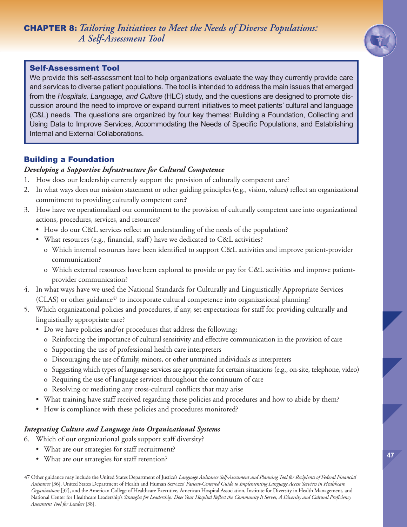

## Self-Assessment Tool

We provide this self-assessment tool to help organizations evaluate the way they currently provide care and services to diverse patient populations. The tool is intended to address the main issues that emerged from the *Hospitals, Language, and Culture* (HLC) study, and the questions are designed to promote discussion around the need to improve or expand current initiatives to meet patients' cultural and language (C&L) needs. The questions are organized by four key themes: Building a Foundation, Collecting and Using Data to Improve Services, Accommodating the Needs of Specific Populations, and Establishing Internal and External Collaborations.

## Building a Foundation

## *Developing a Supportive Infrastructure for Cultural Competence*

- 1. How does our leadership currently support the provision of culturally competent care?
- 2. In what ways does our mission statement or other guiding principles (e.g., vision, values) reflect an organizational commitment to providing culturally competent care?
- 3. How have we operationalized our commitment to the provision of culturally competent care into organizational actions, procedures, services, and resources?
	- How do our C&L services reflect an understanding of the needs of the population?
	- What resources (e.g., financial, staff) have we dedicated to C&L activities?
		- o Which internal resources have been identified to support C&L activities and improve patient-provider communication?
		- o Which external resources have been explored to provide or pay for C&L activities and improve patientprovider communication?
- 4. In what ways have we used the National Standards for Culturally and Linguistically Appropriate Services (CLAS) or other guidance<sup>47</sup> to incorporate cultural competence into organizational planning?
- 5. Which organizational policies and procedures, if any, set expectations for staff for providing culturally and linguistically appropriate care?
	- Do we have policies and/or procedures that address the following:
		- o Reinforcing the importance of cultural sensitivity and effective communication in the provision of care
		- o Supporting the use of professional health care interpreters
		- o Discouraging the use of family, minors, or other untrained individuals as interpreters
		- o Suggesting which types of language services are appropriate for certain situations (e.g., on-site, telephone, video)
		- o Requiring the use of language services throughout the continuum of care
		- o Resolving or mediating any cross-cultural conflicts that may arise
	- What training have staff received regarding these policies and procedures and how to abide by them?
	- How is compliance with these policies and procedures monitored?

### *Integrating Culture and Language into Organizational Systems*

- 6. Which of our organizational goals support staff diversity?
	- What are our strategies for staff recruitment?
	- What are our strategies for staff retention?

<sup>47</sup> Other guidance may include the United States Department of Justice's Language Assistance Self-Assessment and Planning Tool for Recipients of Federal Financial *Assistance* [36], United States Department of Health and Human Services' *Patient-Centered Guide to Implementing Language Access Services in Healthcare Organizations* [37], and the American College of Healthcare Executive, American Hospital Association, Institute for Diversity in Health Management, and National Center for Healthcare Leadership's Strategies for Leadership: Does Your Hospital Reflect the Community It Serves, A Diversity and Cultural Proficiency *Assessment Tool for Leaders* [38].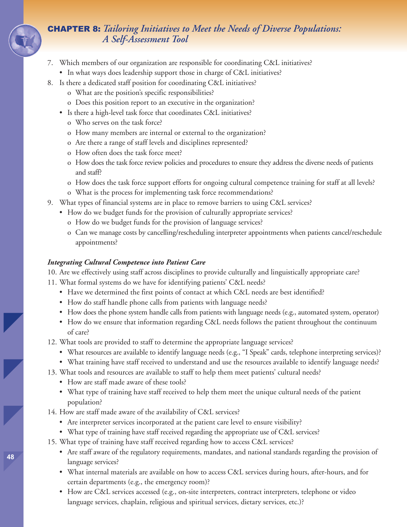- 7. Which members of our organization are responsible for coordinating C&L initiatives?
	- In what ways does leadership support those in charge of C&L initiatives?
- 8. Is there a dedicated staff position for coordinating C&L initiatives?
	- o What are the position's specific responsibilities?
	- o Does this position report to an executive in the organization?
	- Is there a high-level task force that coordinates C&L initiatives?
		- o Who serves on the task force?
		- o How many members are internal or external to the organization?
		- o Are there a range of staff levels and disciplines represented?
		- o How often does the task force meet?
		- o How does the task force review policies and procedures to ensure they address the diverse needs of patients and staff?
		- o How does the task force support efforts for ongoing cultural competence training for staff at all levels?
		- o What is the process for implementing task force recommendations?
- 9. What types of financial systems are in place to remove barriers to using C&L services?
	- How do we budget funds for the provision of culturally appropriate services?
		- o How do we budget funds for the provision of language services?
		- o Can we manage costs by cancelling/rescheduling interpreter appointments when patients cancel/reschedule appointments?

#### *Integrating Cultural Competence into Patient Care*

10. Are we effectively using staff across disciplines to provide culturally and linguistically appropriate care?

- 11. What formal systems do we have for identifying patients' C&L needs?
	- Have we determined the first points of contact at which C&L needs are best identified?
	- How do staff handle phone calls from patients with language needs?
	- How does the phone system handle calls from patients with language needs (e.g., automated system, operator)
	- How do we ensure that information regarding C&L needs follows the patient throughout the continuum of care?
- 12. What tools are provided to staff to determine the appropriate language services?
	- What resources are available to identify language needs (e.g., "I Speak" cards, telephone interpreting services)?
	- What training have staff received to understand and use the resources available to identify language needs?
- 13. What tools and resources are available to staff to help them meet patients' cultural needs?
	- How are staff made aware of these tools?
	- What type of training have staff received to help them meet the unique cultural needs of the patient population?
- 14. How are staff made aware of the availability of C&L services?
	- Are interpreter services incorporated at the patient care level to ensure visibility?
	- What type of training have staff received regarding the appropriate use of C&L services?
- 15. What type of training have staff received regarding how to access C&L services?
	- Are staff aware of the regulatory requirements, mandates, and national standards regarding the provision of language services?
	- What internal materials are available on how to access C&L services during hours, after-hours, and for certain departments (e.g., the emergency room)?
	- How are C&L services accessed (e.g., on-site interpreters, contract interpreters, telephone or video language services, chaplain, religious and spiritual services, dietary services, etc.)?

**48**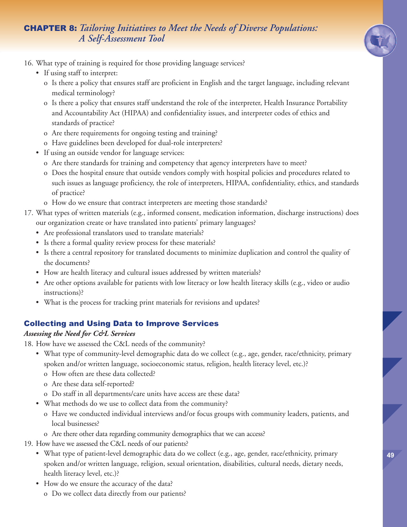

- 16. What type of training is required for those providing language services?
	- If using staff to interpret:
		- o Is there a policy that ensures staff are proficient in English and the target language, including relevant medical terminology?
		- o Is there a policy that ensures staff understand the role of the interpreter, Health Insurance Portability and Accountability Act (HIPAA) and confidentiality issues, and interpreter codes of ethics and standards of practice?
		- o Are there requirements for ongoing testing and training?
		- o Have guidelines been developed for dual-role interpreters?
	- If using an outside vendor for language services:
		- o Are there standards for training and competency that agency interpreters have to meet?
		- o Does the hospital ensure that outside vendors comply with hospital policies and procedures related to such issues as language proficiency, the role of interpreters, HIPAA, confidentiality, ethics, and standards of practice?
		- o How do we ensure that contract interpreters are meeting those standards?
- 17. What types of written materials (e.g., informed consent, medication information, discharge instructions) does our organization create or have translated into patients' primary languages?
	- Are professional translators used to translate materials?
	- Is there a formal quality review process for these materials?
	- Is there a central repository for translated documents to minimize duplication and control the quality of the documents?
	- How are health literacy and cultural issues addressed by written materials?
	- Are other options available for patients with low literacy or low health literacy skills (e.g., video or audio instructions)?
	- What is the process for tracking print materials for revisions and updates?

## Collecting and Using Data to Improve Services

## *Assessing the Need for C&L Services*

- 18. How have we assessed the C&L needs of the community?
	- What type of community-level demographic data do we collect (e.g., age, gender, race/ethnicity, primary spoken and/or written language, socioeconomic status, religion, health literacy level, etc.)?
		- o How often are these data collected?
		- o Are these data self-reported?
		- o Do staff in all departments/care units have access are these data?
	- What methods do we use to collect data from the community?
		- o Have we conducted individual interviews and/or focus groups with community leaders, patients, and local businesses?
		- o Are there other data regarding community demographics that we can access?
- 19. How have we assessed the C&L needs of our patients?
	- What type of patient-level demographic data do we collect (e.g., age, gender, race/ethnicity, primary spoken and/or written language, religion, sexual orientation, disabilities, cultural needs, dietary needs, health literacy level, etc.)?
	- How do we ensure the accuracy of the data?
		- o Do we collect data directly from our patients?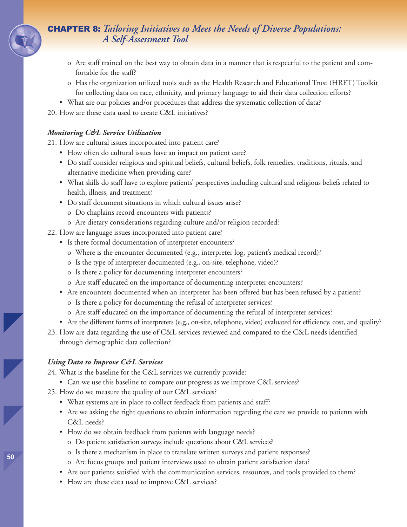- o Are staff trained on the best way to obtain data in a manner that is respectful to the patient and comfortable for the staff?
- o Has the organization utilized tools such as the Health Research and Educational Trust (HRET) Toolkit for collecting data on race, ethnicity, and primary language to aid their data collection efforts?
- What are our policies and/or procedures that address the systematic collection of data?
- 20. How are these data used to create C&L initiatives?

### *Monitoring C&L Service Utilization*

21. How are cultural issues incorporated into patient care?

- How often do cultural issues have an impact on patient care?
- Do staff consider religious and spiritual beliefs, cultural beliefs, folk remedies, traditions, rituals, and alternative medicine when providing care?
- What skills do staff have to explore patients' perspectives including cultural and religious beliefs related to health, illness, and treatment?
- Do staff document situations in which cultural issues arise?
	- o Do chaplains record encounters with patients?
	- o Are dietary considerations regarding culture and/or religion recorded?
- 22. How are language issues incorporated into patient care?
	- Is there formal documentation of interpreter encounters?
		- o Where is the encounter documented (e.g., interpreter log, patient's medical record)?
		- o Is the type of interpreter documented (e.g., on-site, telephone, video)?
		- o Is there a policy for documenting interpreter encounters?
		- o Are staff educated on the importance of documenting interpreter encounters?
	- Are encounters documented when an interpreter has been offered but has been refused by a patient?
		- o Is there a policy for documenting the refusal of interpreter services?
		- o Are staff educated on the importance of documenting the refusal of interpreter services?
	- Are the different forms of interpreters (e.g., on-site, telephone, video) evaluated for efficiency, cost, and quality?
- 23. How are data regarding the use of C&L services reviewed and compared to the C&L needs identified through demographic data collection?

### *Using Data to Improve C&L Services*

24. What is the baseline for the C&L services we currently provide?

- Can we use this baseline to compare our progress as we improve C&L services?
- 25. How do we measure the quality of our C&L services?
	- What systems are in place to collect feedback from patients and staff?
	- Are we asking the right questions to obtain information regarding the care we provide to patients with C&L needs?
	- How do we obtain feedback from patients with language needs?
		- o Do patient satisfaction surveys include questions about C&L services?
		- o Is there a mechanism in place to translate written surveys and patient responses?
		- o Are focus groups and patient interviews used to obtain patient satisfaction data?
	- Are our patients satisfied with the communication services, resources, and tools provided to them?
	- How are these data used to improve C&L services?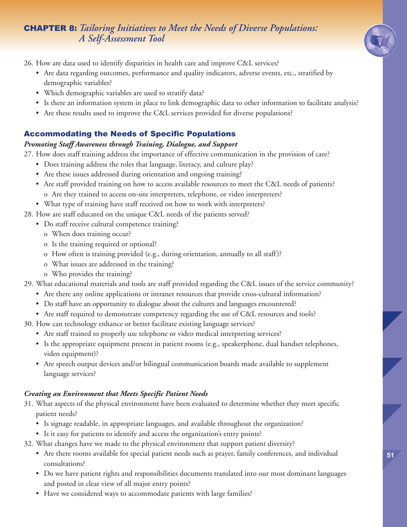

26. How are data used to identify disparities in health care and improve C&L services?

- Are data regarding outcomes, performance and quality indicators, adverse events, etc., stratified by demographic variables?
- Which demographic variables are used to stratify data?
- Is there an information system in place to link demographic data to other information to facilitate analysis?
- Are these results used to improve the C&L services provided for diverse populations?

## Accommodating the Needs of Specific Populations

## *Promoting Staff Awareness through Training, Dialogue, and Support*

27. How does staff training address the importance of effective communication in the provision of care?

- Does training address the roles that language, literacy, and culture play?
- Are these issues addressed during orientation and ongoing training?
- Are staff provided training on how to access available resources to meet the C&L needs of patients? o Are they trained to access on-site interpreters, telephone, or video interpreters?
- What type of training have staff received on how to work with interpreters?
- 28. How are staff educated on the unique C&L needs of the patients served?
	- Do staff receive cultural competence training?
		- o When does training occur?
		- o Is the training required or optional?
		- o How often is training provided (e.g., during orientation, annually to all staff)?
		- o What issues are addressed in the training?
		- o Who provides the training?
- 29. What educational materials and tools are staff provided regarding the C&L issues of the service community?
	- Are there any online applications or intranet resources that provide cross-cultural information?
	- Do staff have an opportunity to dialogue about the cultures and languages encountered?
	- Are staff required to demonstrate competency regarding the use of C&L resources and tools?
- 30. How can technology enhance or better facilitate existing language services?
	- Are staff trained to properly use telephone or video medical interpreting services?
	- Is the appropriate equipment present in patient rooms (e.g., speakerphone, dual handset telephones, video equipment)?
	- Are speech output devices and/or bilingual communication boards made available to supplement language services?

## *Creating an Environment that Meets Specific Patient Needs*

- 31. What aspects of the physical environment have been evaluated to determine whether they meet specific patient needs?
	- Is signage readable, in appropriate languages, and available throughout the organization?
	- Is it easy for patients to identify and access the organization's entry points?
- 32. What changes have we made to the physical environment that support patient diversity?
	- Are there rooms available for special patient needs such as prayer, family conferences, and individual consultations?
	- Do we have patient rights and responsibilities documents translated into our most dominant languages and posted in clear view of all major entry points?
	- Have we considered ways to accommodate patients with large families?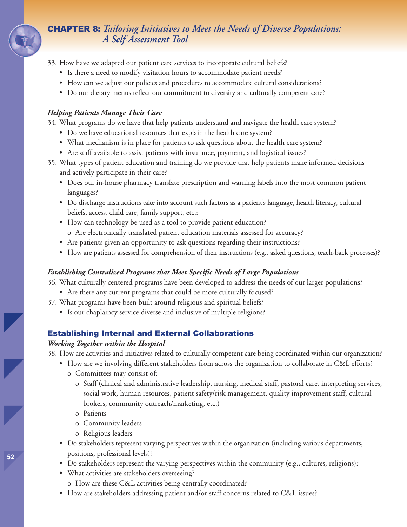- 33. How have we adapted our patient care services to incorporate cultural beliefs?
	- Is there a need to modify visitation hours to accommodate patient needs?
	- How can we adjust our policies and procedures to accommodate cultural considerations?
	- Do our dietary menus reflect our commitment to diversity and culturally competent care?

#### *Helping Patients Manage Their Care*

34. What programs do we have that help patients understand and navigate the health care system?

- Do we have educational resources that explain the health care system?
- What mechanism is in place for patients to ask questions about the health care system?
- Are staff available to assist patients with insurance, payment, and logistical issues?
- 35. What types of patient education and training do we provide that help patients make informed decisions and actively participate in their care?
	- Does our in-house pharmacy translate prescription and warning labels into the most common patient languages?
	- Do discharge instructions take into account such factors as a patient's language, health literacy, cultural beliefs, access, child care, family support, etc.?
	- How can technology be used as a tool to provide patient education? o Are electronically translated patient education materials assessed for accuracy?
	- Are patients given an opportunity to ask questions regarding their instructions?
	- How are patients assessed for comprehension of their instructions (e.g., asked questions, teach-back processes)?

### *Establishing Centralized Programs that Meet Specific Needs of Large Populations*

36. What culturally centered programs have been developed to address the needs of our larger populations?

- Are there any current programs that could be more culturally focused?
- 37. What programs have been built around religious and spiritual beliefs?
	- Is our chaplaincy service diverse and inclusive of multiple religions?

## Establishing Internal and External Collaborations

#### *Working Together within the Hospital*

38. How are activities and initiatives related to culturally competent care being coordinated within our organization?

- How are we involving different stakeholders from across the organization to collaborate in C&L efforts?
	- o Committees may consist of:
		- o Staff (clinical and administrative leadership, nursing, medical staff, pastoral care, interpreting services, social work, human resources, patient safety/risk management, quality improvement staff, cultural brokers, community outreach/marketing, etc.)
		- o Patients
		- o Community leaders
		- o Religious leaders
- Do stakeholders represent varying perspectives within the organization (including various departments, positions, professional levels)?
- Do stakeholders represent the varying perspectives within the community (e.g., cultures, religions)?
- What activities are stakeholders overseeing?
	- o How are these C&L activities being centrally coordinated?
- How are stakeholders addressing patient and/or staff concerns related to C&L issues?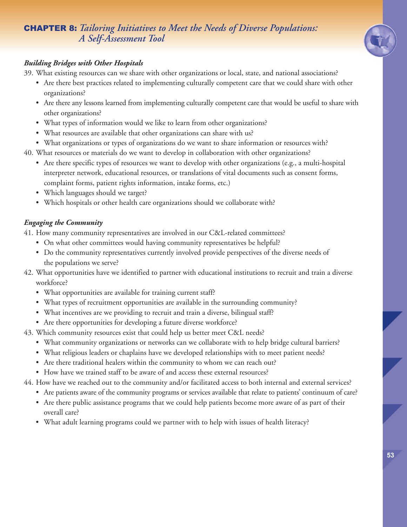

## *Building Bridges with Other Hospitals*

39. What existing resources can we share with other organizations or local, state, and national associations?

- Are there best practices related to implementing culturally competent care that we could share with other organizations?
- Are there any lessons learned from implementing culturally competent care that would be useful to share with other organizations?
- What types of information would we like to learn from other organizations?
- What resources are available that other organizations can share with us?
- What organizations or types of organizations do we want to share information or resources with?

40. What resources or materials do we want to develop in collaboration with other organizations?

- Are there specific types of resources we want to develop with other organizations (e.g., a multi-hospital interpreter network, educational resources, or translations of vital documents such as consent forms, complaint forms, patient rights information, intake forms, etc.)
- Which languages should we target?
- Which hospitals or other health care organizations should we collaborate with?

## *Engaging the Community*

41. How many community representatives are involved in our C&L-related committees?

- On what other committees would having community representatives be helpful?
- Do the community representatives currently involved provide perspectives of the diverse needs of the populations we serve?
- 42. What opportunities have we identified to partner with educational institutions to recruit and train a diverse workforce?
	- What opportunities are available for training current staff?
	- What types of recruitment opportunities are available in the surrounding community?
	- What incentives are we providing to recruit and train a diverse, bilingual staff?
	- Are there opportunities for developing a future diverse workforce?
- 43. Which community resources exist that could help us better meet C&L needs?
	- What community organizations or networks can we collaborate with to help bridge cultural barriers?
	- What religious leaders or chaplains have we developed relationships with to meet patient needs?
	- Are there traditional healers within the community to whom we can reach out?
	- How have we trained staff to be aware of and access these external resources?
- 44. How have we reached out to the community and/or facilitated access to both internal and external services?
	- Are patients aware of the community programs or services available that relate to patients' continuum of care?
	- Are there public assistance programs that we could help patients become more aware of as part of their overall care?
	- What adult learning programs could we partner with to help with issues of health literacy?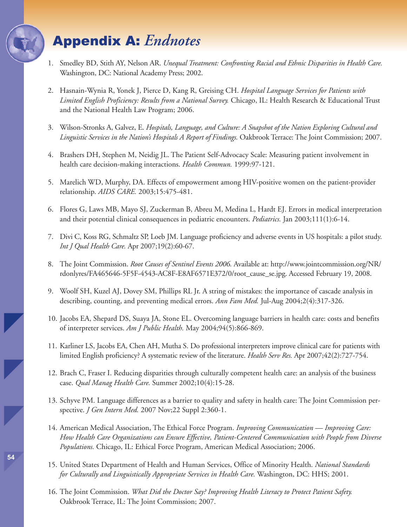## Appendix A: *Endnotes*

- 1. Smedley BD, Stith AY, Nelson AR. *Unequal Treatment: Confronting Racial and Ethnic Disparities in Health Care.* Washington, DC: National Academy Press; 2002.
- 2. Hasnain-Wynia R, Yonek J, Pierce D, Kang R, Greising CH. *Hospital Language Services for Patients with Limited English Proficiency: Results from a National Survey.* Chicago, IL: Health Research & Educational Trust and the National Health Law Program; 2006.
- 3. Wilson-Stronks A, Galvez, E. *Hospitals, Language, and Culture: A Snapshot of the Nation Exploring Cultural and Linguistic Services in the Nation's Hospitals A Report of Findings.* Oakbrook Terrace: The Joint Commission; 2007.
- 4. Brashers DH, Stephen M, Neidig JL. The Patient Self-Advocacy Scale: Measuring patient involvement in health care decision-making interactions. *Health Commun.* 1999:97-121.
- 5. Marelich WD, Murphy, DA. Effects of empowerment among HIV-positive women on the patient-provider relationship. *AIDS CARE.* 2003;15:475-481.
- 6. Flores G, Laws MB, Mayo SJ, Zuckerman B, Abreu M, Medina L, Hardt EJ. Errors in medical interpretation and their potential clinical consequences in pediatric encounters. *Pediatrics.* Jan 2003;111(1):6-14.
- 7. Divi C, Koss RG, Schmaltz SP, Loeb JM. Language proficiency and adverse events in US hospitals: a pilot study. *Int J Qual Health Care.* Apr 2007;19(2):60-67.
- 8. The Joint Commission. *Root Causes of Sentinel Events 2006.* Available at: http://www.jointcommission.org/NR/ rdonlyres/FA465646-5F5F-4543-AC8F-E8AF6571E372/0/root\_cause\_se.jpg. Accessed February 19, 2008.
- 9. Woolf SH, Kuzel AJ, Dovey SM, Phillips RL Jr. A string of mistakes: the importance of cascade analysis in describing, counting, and preventing medical errors. *Ann Fam Med.* Jul-Aug 2004;2(4):317-326.
- 10. Jacobs EA, Shepard DS, Suaya JA, Stone EL. Overcoming language barriers in health care: costs and benefits of interpreter services. *Am J Public Health.* May 2004;94(5):866-869.
- 11. Karliner LS, Jacobs EA, Chen AH, Mutha S. Do professional interpreters improve clinical care for patients with limited English proficiency? A systematic review of the literature. *Health Serv Res.* Apr 2007;42(2):727-754.
- 12. Brach C, Fraser I. Reducing disparities through culturally competent health care: an analysis of the business case. *Qual Manag Health Care.* Summer 2002;10(4):15-28.
- 13. Schyve PM. Language differences as a barrier to quality and safety in health care: The Joint Commission perspective. *J Gen Intern Med.* 2007 Nov;22 Suppl 2:360-1.
- 14. American Medical Association, The Ethical Force Program. *Improving Communication — Improving Care: How Health Care Organizations can Ensure Effective, Patient-Centered Communication with People from Diverse Populations.* Chicago, IL: Ethical Force Program, American Medical Association; 2006.
- 15. United States Department of Health and Human Services, Office of Minority Health. *National Standards for Culturally and Linguistically Appropriate Services in Health Care.* Washington, DC: HHS; 2001.
- 16. The Joint Commission. *What Did the Doctor Say? Improving Health Literacy to Protect Patient Safety.* Oakbrook Terrace, IL: The Joint Commission; 2007.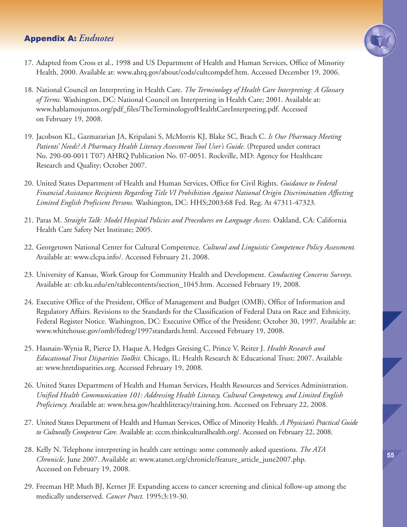## Appendix A: *Endnotes*



- 17. Adapted from Cross et al., 1998 and US Department of Health and Human Services, Office of Minority Health, 2000. Available at: www.ahrq.gov/about/cods/cultcompdef.htm. Accessed December 19, 2006.
- 18. National Council on Interpreting in Health Care. *The Terminology of Health Care Interpreting: A Glossary of Terms.* Washington, DC: National Council on Interpreting in Health Care; 2001. Available at: www.hablamosjuntos.org/pdf\_files/TheTerminologyofHealthCareInterpreting.pdf. Accessed on February 19, 2008.
- 19. Jacobson KL, Gazmararian JA, Kripalani S, McMorris KJ, Blake SC, Brach C. *Is Our Pharmacy Meeting Patients' Needs? A Pharmacy Health Literacy Assessment Tool User's Guide.* (Prepared under contract No. 290-00-0011 T07) AHRQ Publication No. 07-0051. Rockville, MD: Agency for Healthcare Research and Quality; October 2007.
- 20. United States Department of Health and Human Services, Office for Civil Rights. *Guidance to Federal Financial Assistance Recipients Regarding Title VI Prohibition Against National Origin Discrimination Affecting Limited English Proficient Persons.* Washington, DC: HHS;2003:68 Fed. Reg. At 47311-47323.
- 21. Paras M. *Straight Talk: Model Hospital Policies and Procedures on Language Access.* Oakland, CA: California Health Care Safety Net Institute; 2005.
- 22. Georgetown National Center for Cultural Competence. *Cultural and Linguistic Competence Policy Assessment.* Available at: www.clcpa.info/. Accessed February 21, 2008.
- 23. University of Kansas, Work Group for Community Health and Development. *Conducting Concerns Surveys.* Available at: ctb.ku.edu/en/tablecontents/section\_1045.htm. Accessed February 19, 2008.
- 24. Executive Office of the President, Office of Management and Budget (OMB), Office of Information and Regulatory Affairs. Revisions to the Standards for the Classification of Federal Data on Race and Ethnicity, Federal Register Notice. Washington, DC: Executive Office of the President; October 30, 1997. Available at: www.whitehouse.gov/omb/fedreg/1997standards.html. Accessed February 19, 2008.
- 25. Hasnain-Wynia R, Pierce D, Haque A, Hedges Greising C, Prince V, Reiter J. *Health Research and Educational Trust Disparities Toolkit.* Chicago, IL: Health Research & Educational Trust; 2007. Available at: www.hretdisparities.org. Accessed February 19, 2008.
- 26. United States Department of Health and Human Services, Health Resources and Services Administration. *Unified Health Communication 101: Addressing Health Literacy, Cultural Competency, and Limited English Proficiency.* Available at: www.hrsa.gov/healthliteracy/training.htm. Accessed on February 22, 2008.
- 27. United States Department of Health and Human Services, Office of Minority Health. *A Physician's Practical Guide to Culturally Competent Care.* Available at: cccm.thinkculturalhealth.org/. Accessed on February 22, 2008.
- 28. Kelly N. Telephone interpreting in health care settings: some commonly asked questions. *The ATA Chronicle*. June 2007. Available at: www.atanet.org/chronicle/feature\_article\_june2007.php. Accessed on February 19, 2008.
- 29. Freeman HP, Muth BJ, Kerner JF. Expanding access to cancer screening and clinical follow-up among the medically underserved. *Cancer Pract.* 1995;3:19-30.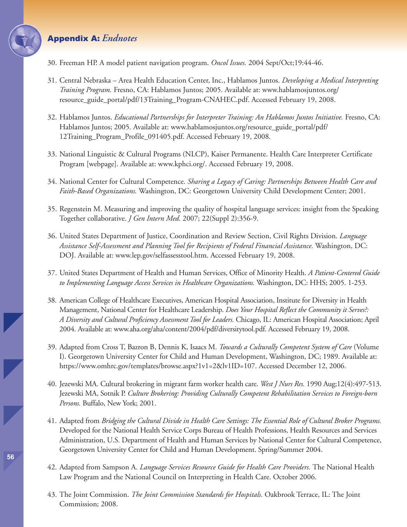## Appendix A: *Endnotes*

- 30. Freeman HP. A model patient navigation program. *Oncol Issues.* 2004 Sept/Oct;19:44-46.
- 31. Central Nebraska Area Health Education Center, Inc., Hablamos Juntos. *Developing a Medical Interpreting Training Program.* Fresno, CA: Hablamos Juntos; 2005. Available at: www.hablamosjuntos.org/ resource\_guide\_portal/pdf/13Training\_Program-CNAHEC.pdf. Accessed February 19, 2008.
- 32. Hablamos Juntos. *Educational Partnerships for Interpreter Training: An Hablamos Juntos Initiative.* Fresno, CA: Hablamos Juntos; 2005. Available at: www.hablamosjuntos.org/resource\_guide\_portal/pdf/ 12Training\_Program\_Profile\_091405.pdf. Accessed February 19, 2008.
- 33. National Linguistic & Cultural Programs (NLCP), Kaiser Permanente. Health Care Interpreter Certificate Program [webpage]. Available at: www.kphci.org/. Accessed February 19, 2008.
- 34. National Center for Cultural Competence. *Sharing a Legacy of Caring: Partnerships Between Health Care and Faith-Based Organizations.* Washington, DC: Georgetown University Child Development Center; 2001.
- 35. Regenstein M. Measuring and improving the quality of hospital language services: insight from the Speaking Together collaborative. *J Gen Intern Med.* 2007; 22(Suppl 2):356-9.
- 36. United States Department of Justice, Coordination and Review Section, Civil Rights Division. *Language Assistance Self-Assessment and Planning Tool for Recipients of Federal Financial Assistance.* Washington, DC: DOJ. Available at: www.lep.gov/selfassesstool.htm. Accessed February 19, 2008.
- 37. United States Department of Health and Human Services, Office of Minority Health. *A Patient-Centered Guide to Implementing Language Access Services in Healthcare Organizations.* Washington, DC: HHS; 2005. 1-253.
- 38. American College of Healthcare Executives, American Hospital Association, Institute for Diversity in Health Management, National Center for Healthcare Leadership. *Does Your Hospital Reflect the Community it Serves?: A Diversity and Cultural Proficiency Assessment Tool for Leaders.* Chicago, IL: American Hospital Association; April 2004. Available at: www.aha.org/aha/content/2004/pdf/diversitytool.pdf. Accessed February 19, 2008.
- 39. Adapted from Cross T, Bazron B, Dennis K, Isaacs M. *Towards a Culturally Competent System of Care* (Volume I). Georgetown University Center for Child and Human Development, Washington, DC; 1989. Available at: https://www.omhrc.gov/templates/browse.aspx?1v1=2&lv1ID=107. Accessed December 12, 2006.
- 40. Jezewski MA. Cultural brokering in migrant farm worker health care. *West J Nurs Res.* 1990 Aug;12(4):497-513. Jezewski MA, Sotnik P. *Culture Brokering: Providing Culturally Competent Rehabilitation Services to Foreign-born Persons.* Buffalo, New York; 2001.
- 41. Adapted from *Bridging the Cultural Divide in Health Care Settings: The Essential Role of Cultural Broker Programs.* Developed for the National Health Service Corps Bureau of Health Professions, Health Resources and Services Administration, U.S. Department of Health and Human Services by National Center for Cultural Competence, Georgetown University Center for Child and Human Development. Spring/Summer 2004.
- 42. Adapted from Sampson A. *Language Services Resource Guide for Health Care Providers.* The National Health Law Program and the National Council on Interpreting in Health Care. October 2006.
- 43. The Joint Commission. *The Joint Commission Standards for Hospitals.* Oakbrook Terrace, IL: The Joint Commission; 2008.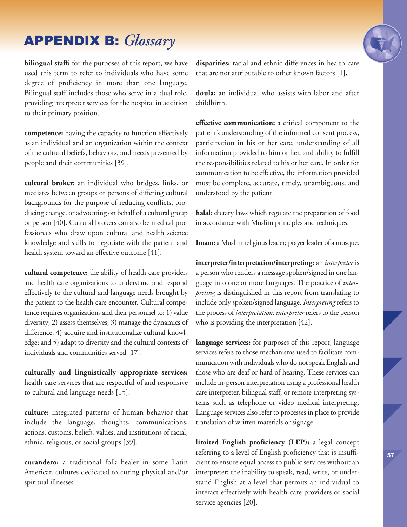## APPENDIX B: *Glossary*

**bilingual staff:** for the purposes of this report, we have used this term to refer to individuals who have some degree of proficiency in more than one language. Bilingual staff includes those who serve in a dual role, providing interpreter services for the hospital in addition to their primary position.

**competence:** having the capacity to function effectively as an individual and an organization within the context of the cultural beliefs, behaviors, and needs presented by people and their communities [39].

**cultural broker:** an individual who bridges, links, or mediates between groups or persons of differing cultural backgrounds for the purpose of reducing conflicts, producing change, or advocating on behalf of a cultural group or person [40]. Cultural brokers can also be medical professionals who draw upon cultural and health science knowledge and skills to negotiate with the patient and health system toward an effective outcome [41].

**cultural competence:** the ability of health care providers and health care organizations to understand and respond effectively to the cultural and language needs brought by the patient to the health care encounter. Cultural competence requires organizations and their personnel to: 1) value diversity; 2) assess themselves; 3) manage the dynamics of difference; 4) acquire and institutionalize cultural knowledge; and 5) adapt to diversity and the cultural contexts of individuals and communities served [17].

**culturally and linguistically appropriate services:** health care services that are respectful of and responsive to cultural and language needs [15].

**culture:** integrated patterns of human behavior that include the language, thoughts, communications, actions, customs, beliefs, values, and institutions of racial, ethnic, religious, or social groups [39].

**curandero:** a traditional folk healer in some Latin American cultures dedicated to curing physical and/or spiritual illnesses.

**disparities:** racial and ethnic differences in health care that are not attributable to other known factors [1].

**doula:** an individual who assists with labor and after childbirth.

**effective communication:** a critical component to the patient's understanding of the informed consent process, participation in his or her care, understanding of all information provided to him or her, and ability to fulfill the responsibilities related to his or her care. In order for communication to be effective, the information provided must be complete, accurate, timely, unambiguous, and understood by the patient.

**halal:** dietary laws which regulate the preparation of food in accordance with Muslim principles and techniques.

**Imam:** a Muslim religious leader; prayer leader of a mosque.

**interpreter/interpretation/interpreting:** an *interpreter* is a person who renders a message spoken/signed in one language into one or more languages. The practice of *interpreting* is distinguished in this report from translating to include only spoken/signed language. *Interpreting*refers to the process of *interpretation; interpreter* refers to the person who is providing the interpretation [42].

**language services:** for purposes of this report, language services refers to those mechanisms used to facilitate communication with individuals who do not speak English and those who are deaf or hard of hearing. These services can include in-person interpretation using a professional health care interpreter, bilingual staff, or remote interpreting systems such as telephone or video medical interpreting. Language services also refer to processes in place to provide translation of written materials or signage.

**limited English proficiency (LEP):** a legal concept referring to a level of English proficiency that is insufficient to ensure equal access to public services without an interpreter; the inability to speak, read, write, or understand English at a level that permits an individual to interact effectively with health care providers or social service agencies [20].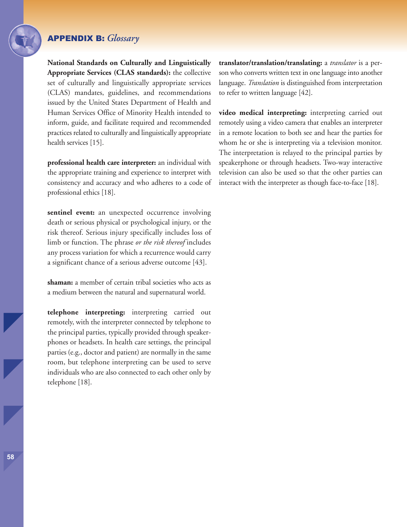## APPENDIX B: *Glossary*

**National Standards on Culturally and Linguistically Appropriate Services (CLAS standards):** the collective set of culturally and linguistically appropriate services (CLAS) mandates, guidelines, and recommendations issued by the United States Department of Health and Human Services Office of Minority Health intended to inform, guide, and facilitate required and recommended practices related to culturally and linguistically appropriate health services [15].

**professional health care interpreter:** an individual with the appropriate training and experience to interpret with consistency and accuracy and who adheres to a code of professional ethics [18].

**sentinel event:** an unexpected occurrence involving death or serious physical or psychological injury, or the risk thereof. Serious injury specifically includes loss of limb or function. The phrase *or the risk thereof* includes any process variation for which a recurrence would carry a significant chance of a serious adverse outcome [43].

**shaman:** a member of certain tribal societies who acts as a medium between the natural and supernatural world.

**telephone interpreting:** interpreting carried out remotely, with the interpreter connected by telephone to the principal parties, typically provided through speakerphones or headsets. In health care settings, the principal parties (e.g., doctor and patient) are normally in the same room, but telephone interpreting can be used to serve individuals who are also connected to each other only by telephone [18].

**translator/translation/translating:** a *translator* is a person who converts written text in one language into another language. *Translation* is distinguished from interpretation to refer to written language [42].

**video medical interpreting:** interpreting carried out remotely using a video camera that enables an interpreter in a remote location to both see and hear the parties for whom he or she is interpreting via a television monitor. The interpretation is relayed to the principal parties by speakerphone or through headsets. Two-way interactive television can also be used so that the other parties can interact with the interpreter as though face-to-face [18].